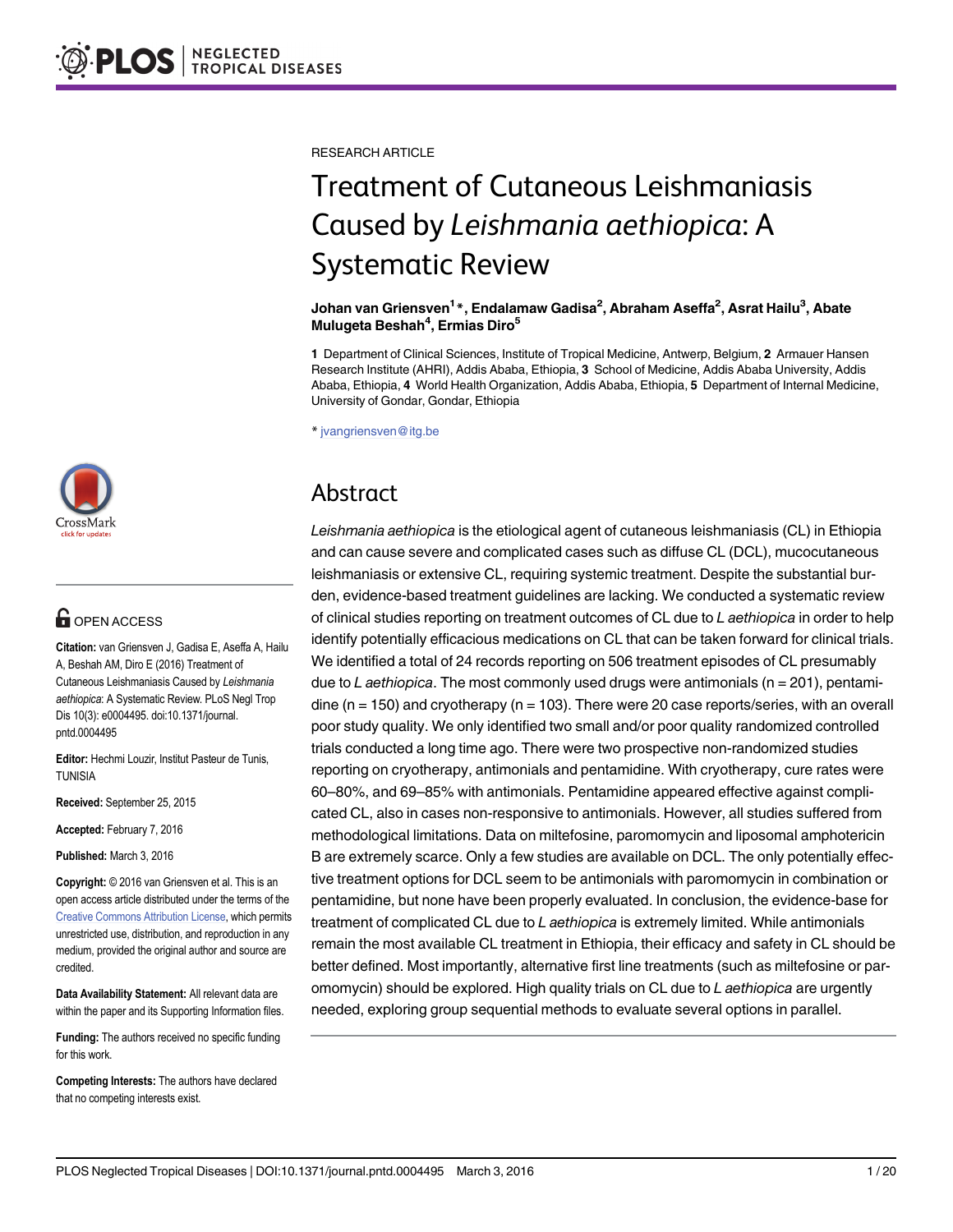RESEARCH ARTICLE

# Treatment of Cutaneous Leishmaniasis Caused by Leishmania aethiopica: A Systematic Review

#### Johan van Griensven<sup>1</sup>\*, Endalamaw Gadisa<sup>2</sup>, Abraham Aseffa<sup>2</sup>, Asrat Hailu<sup>3</sup>, Abate Mulugeta Beshah<sup>4</sup>, Ermias Diro<sup>5</sup>

1 Department of Clinical Sciences, Institute of Tropical Medicine, Antwerp, Belgium, 2 Armauer Hansen Research Institute (AHRI), Addis Ababa, Ethiopia, 3 School of Medicine, Addis Ababa University, Addis Ababa, Ethiopia, 4 World Health Organization, Addis Ababa, Ethiopia, 5 Department of Internal Medicine, University of Gondar, Gondar, Ethiopia

\* jvangriensven@itg.be

## Abstract

Leishmania aethiopica is the etiological agent of cutaneous leishmaniasis (CL) in Ethiopia and can cause severe and complicated cases such as diffuse CL (DCL), mucocutaneous leishmaniasis or extensive CL, requiring systemic treatment. Despite the substantial burden, evidence-based treatment guidelines are lacking. We conducted a systematic review of clinical studies reporting on treatment outcomes of CL due to L aethiopica in order to help identify potentially efficacious medications on CL that can be taken forward for clinical trials. We identified a total of 24 records reporting on 506 treatment episodes of CL presumably due to L aethiopica. The most commonly used drugs were antimonials ( $n = 201$ ), pentamidine ( $n = 150$ ) and cryotherapy ( $n = 103$ ). There were 20 case reports/series, with an overall poor study quality. We only identified two small and/or poor quality randomized controlled trials conducted a long time ago. There were two prospective non-randomized studies reporting on cryotherapy, antimonials and pentamidine. With cryotherapy, cure rates were 60–80%, and 69–85% with antimonials. Pentamidine appeared effective against complicated CL, also in cases non-responsive to antimonials. However, all studies suffered from methodological limitations. Data on miltefosine, paromomycin and liposomal amphotericin B are extremely scarce. Only a few studies are available on DCL. The only potentially effective treatment options for DCL seem to be antimonials with paromomycin in combination or pentamidine, but none have been properly evaluated. In conclusion, the evidence-base for treatment of complicated CL due to L aethiopica is extremely limited. While antimonials remain the most available CL treatment in Ethiopia, their efficacy and safety in CL should be better defined. Most importantly, alternative first line treatments (such as miltefosine or paromomycin) should be explored. High quality trials on CL due to L aethiopica are urgently needed, exploring group sequential methods to evaluate several options in parallel.



## **G** OPEN ACCESS

Citation: van Griensven J, Gadisa E, Aseffa A, Hailu A, Beshah AM, Diro E (2016) Treatment of Cutaneous Leishmaniasis Caused by Leishmania aethiopica: A Systematic Review. PLoS Negl Trop Dis 10(3): e0004495. doi:10.1371/journal. pntd.0004495

Editor: Hechmi Louzir, Institut Pasteur de Tunis, **TUNISIA** 

Received: September 25, 2015

Accepted: February 7, 2016

Published: March 3, 2016

Copyright: © 2016 van Griensven et al. This is an open access article distributed under the terms of the [Creative Commons Attribution License,](http://creativecommons.org/licenses/by/4.0/) which permits unrestricted use, distribution, and reproduction in any medium, provided the original author and source are credited.

Data Availability Statement: All relevant data are within the paper and its Supporting Information files.

Funding: The authors received no specific funding for this work.

Competing Interests: The authors have declared that no competing interests exist.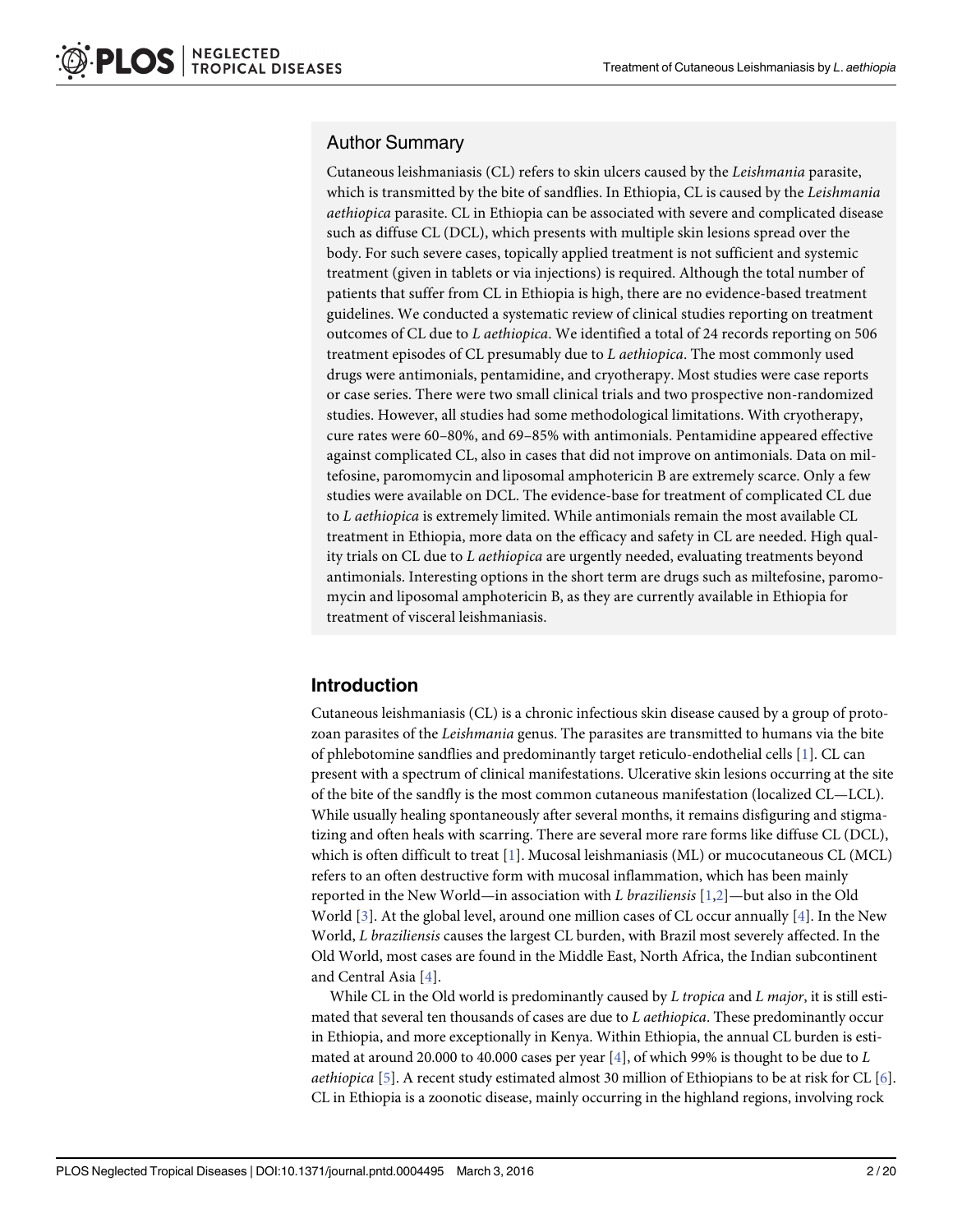## <span id="page-1-0"></span>Author Summary

Cutaneous leishmaniasis (CL) refers to skin ulcers caused by the Leishmania parasite, which is transmitted by the bite of sandflies. In Ethiopia, CL is caused by the Leishmania aethiopica parasite. CL in Ethiopia can be associated with severe and complicated disease such as diffuse CL (DCL), which presents with multiple skin lesions spread over the body. For such severe cases, topically applied treatment is not sufficient and systemic treatment (given in tablets or via injections) is required. Although the total number of patients that suffer from CL in Ethiopia is high, there are no evidence-based treatment guidelines. We conducted a systematic review of clinical studies reporting on treatment outcomes of CL due to L aethiopica. We identified a total of 24 records reporting on 506 treatment episodes of CL presumably due to L aethiopica. The most commonly used drugs were antimonials, pentamidine, and cryotherapy. Most studies were case reports or case series. There were two small clinical trials and two prospective non-randomized studies. However, all studies had some methodological limitations. With cryotherapy, cure rates were 60–80%, and 69–85% with antimonials. Pentamidine appeared effective against complicated CL, also in cases that did not improve on antimonials. Data on miltefosine, paromomycin and liposomal amphotericin B are extremely scarce. Only a few studies were available on DCL. The evidence-base for treatment of complicated CL due to L aethiopica is extremely limited. While antimonials remain the most available CL treatment in Ethiopia, more data on the efficacy and safety in CL are needed. High quality trials on CL due to L aethiopica are urgently needed, evaluating treatments beyond antimonials. Interesting options in the short term are drugs such as miltefosine, paromomycin and liposomal amphotericin B, as they are currently available in Ethiopia for treatment of visceral leishmaniasis.

## Introduction

Cutaneous leishmaniasis (CL) is a chronic infectious skin disease caused by a group of protozoan parasites of the Leishmania genus. The parasites are transmitted to humans via the bite of phlebotomine sandflies and predominantly target reticulo-endothelial cells [[1\]](#page-16-0). CL can present with a spectrum of clinical manifestations. Ulcerative skin lesions occurring at the site of the bite of the sandfly is the most common cutaneous manifestation (localized CL—LCL). While usually healing spontaneously after several months, it remains disfiguring and stigmatizing and often heals with scarring. There are several more rare forms like diffuse CL (DCL), which is often difficult to treat  $[1]$  $[1]$  $[1]$ . Mucosal leishmaniasis (ML) or mucocutaneous CL (MCL) refers to an often destructive form with mucosal inflammation, which has been mainly reported in the New World—in association with L braziliensis  $[1,2]$ —but also in the Old World  $[3]$  $[3]$ . At the global level, around one million cases of CL occur annually  $[4]$  $[4]$  $[4]$ . In the New World, L braziliensis causes the largest CL burden, with Brazil most severely affected. In the Old World, most cases are found in the Middle East, North Africa, the Indian subcontinent and Central Asia [[4\]](#page-16-0).

While CL in the Old world is predominantly caused by L tropica and L major, it is still estimated that several ten thousands of cases are due to L aethiopica. These predominantly occur in Ethiopia, and more exceptionally in Kenya. Within Ethiopia, the annual CL burden is esti-mated at around 20.000 to [4](#page-16-0)0.000 cases per year  $[4]$ , of which 99% is thought to be due to L *aethiopica* [\[5\]](#page-16-0). A recent study estimated almost 30 million of Ethiopians to be at risk for CL [[6](#page-16-0)]. CL in Ethiopia is a zoonotic disease, mainly occurring in the highland regions, involving rock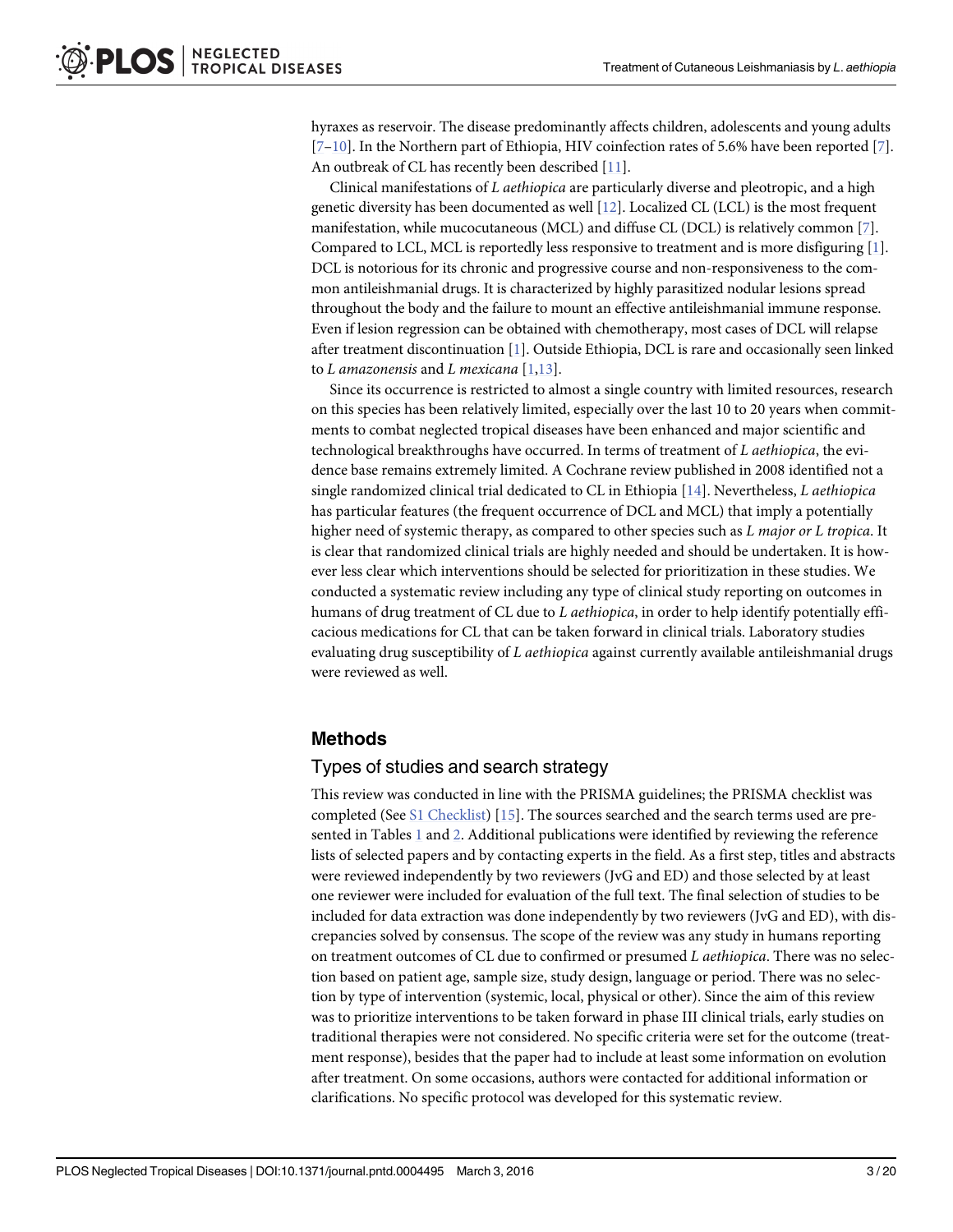<span id="page-2-0"></span>hyraxes as reservoir. The disease predominantly affects children, adolescents and young adults [\[7](#page-16-0)–[10\]](#page-17-0). In the Northern part of Ethiopia, HIV coinfection rates of 5.6% have been reported [[7\]](#page-16-0). An outbreak of CL has recently been described [\[11\]](#page-17-0).

Clinical manifestations of L aethiopica are particularly diverse and pleotropic, and a high genetic diversity has been documented as well [[12\]](#page-17-0). Localized CL (LCL) is the most frequent manifestation, while mucocutaneous (MCL) and diffuse CL (DCL) is relatively common [\[7](#page-16-0)]. Compared to LCL, MCL is reportedly less responsive to treatment and is more disfiguring [[1](#page-16-0)]. DCL is notorious for its chronic and progressive course and non-responsiveness to the common antileishmanial drugs. It is characterized by highly parasitized nodular lesions spread throughout the body and the failure to mount an effective antileishmanial immune response. Even if lesion regression can be obtained with chemotherapy, most cases of DCL will relapse after treatment discontinuation [[1\]](#page-16-0). Outside Ethiopia, DCL is rare and occasionally seen linked to L amazonensis and L mexicana  $[1,13]$  $[1,13]$  $[1,13]$  $[1,13]$ .

Since its occurrence is restricted to almost a single country with limited resources, research on this species has been relatively limited, especially over the last 10 to 20 years when commitments to combat neglected tropical diseases have been enhanced and major scientific and technological breakthroughs have occurred. In terms of treatment of L aethiopica, the evidence base remains extremely limited. A Cochrane review published in 2008 identified not a single randomized clinical trial dedicated to CL in Ethiopia  $[14]$ . Nevertheless, *L* aethiopica has particular features (the frequent occurrence of DCL and MCL) that imply a potentially higher need of systemic therapy, as compared to other species such as L major or L tropica. It is clear that randomized clinical trials are highly needed and should be undertaken. It is however less clear which interventions should be selected for prioritization in these studies. We conducted a systematic review including any type of clinical study reporting on outcomes in humans of drug treatment of CL due to L *aethiopica*, in order to help identify potentially efficacious medications for CL that can be taken forward in clinical trials. Laboratory studies evaluating drug susceptibility of L aethiopica against currently available antileishmanial drugs were reviewed as well.

## Methods

### Types of studies and search strategy

This review was conducted in line with the PRISMA guidelines; the PRISMA checklist was completed (See [S1 Checklist](#page-16-0)) [\[15](#page-17-0)]. The sources searched and the search terms used are presented in Tables  $1$  and  $2$ . Additional publications were identified by reviewing the reference lists of selected papers and by contacting experts in the field. As a first step, titles and abstracts were reviewed independently by two reviewers (JvG and ED) and those selected by at least one reviewer were included for evaluation of the full text. The final selection of studies to be included for data extraction was done independently by two reviewers (JvG and ED), with discrepancies solved by consensus. The scope of the review was any study in humans reporting on treatment outcomes of CL due to confirmed or presumed L aethiopica. There was no selection based on patient age, sample size, study design, language or period. There was no selection by type of intervention (systemic, local, physical or other). Since the aim of this review was to prioritize interventions to be taken forward in phase III clinical trials, early studies on traditional therapies were not considered. No specific criteria were set for the outcome (treatment response), besides that the paper had to include at least some information on evolution after treatment. On some occasions, authors were contacted for additional information or clarifications. No specific protocol was developed for this systematic review.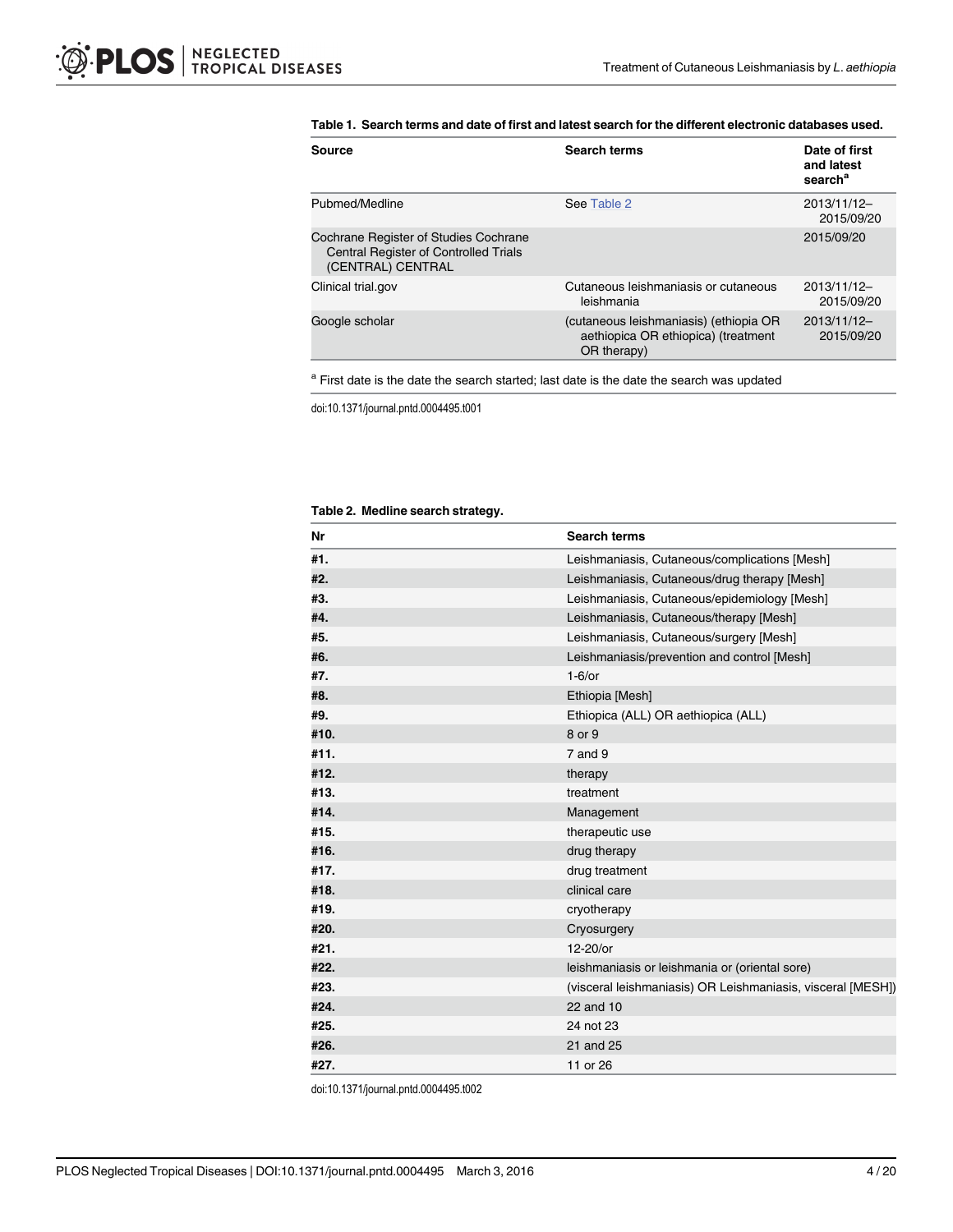#### <span id="page-3-0"></span>[Table 1.](#page-2-0) Search terms and date of first and latest search for the different electronic databases used.

| Source                                                                                                     | <b>Search terms</b>                                                                          | Date of first<br>and latest<br>search <sup>a</sup> |
|------------------------------------------------------------------------------------------------------------|----------------------------------------------------------------------------------------------|----------------------------------------------------|
| Pubmed/Medline                                                                                             | See Table 2                                                                                  | $2013/11/12-$<br>2015/09/20                        |
| Cochrane Register of Studies Cochrane<br><b>Central Register of Controlled Trials</b><br>(CENTRAL) CENTRAL |                                                                                              | 2015/09/20                                         |
| Clinical trial.gov                                                                                         | Cutaneous leishmaniasis or cutaneous<br>leishmania                                           | $2013/11/12-$<br>2015/09/20                        |
| Google scholar                                                                                             | (cutaneous leishmaniasis) (ethiopia OR<br>aethiopica OR ethiopica) (treatment<br>OR therapy) | $2013/11/12-$<br>2015/09/20                        |

<sup>a</sup> First date is the date the search started; last date is the date the search was updated

doi:10.1371/journal.pntd.0004495.t001

#### [Table 2.](#page-2-0) Medline search strategy.

| Nr   | <b>Search terms</b>                                         |
|------|-------------------------------------------------------------|
| #1.  | Leishmaniasis, Cutaneous/complications [Mesh]               |
| #2.  | Leishmaniasis, Cutaneous/drug therapy [Mesh]                |
| #3.  | Leishmaniasis, Cutaneous/epidemiology [Mesh]                |
| #4.  | Leishmaniasis, Cutaneous/therapy [Mesh]                     |
| #5.  | Leishmaniasis, Cutaneous/surgery [Mesh]                     |
| #6.  | Leishmaniasis/prevention and control [Mesh]                 |
| #7.  | $1-6$ /or                                                   |
| #8.  | Ethiopia [Mesh]                                             |
| #9.  | Ethiopica (ALL) OR aethiopica (ALL)                         |
| #10. | 8 or 9                                                      |
| #11. | $7$ and $9$                                                 |
| #12. | therapy                                                     |
| #13. | treatment                                                   |
| #14. | Management                                                  |
| #15. | therapeutic use                                             |
| #16. | drug therapy                                                |
| #17. | drug treatment                                              |
| #18. | clinical care                                               |
| #19. | cryotherapy                                                 |
| #20. | Cryosurgery                                                 |
| #21. | $12-20$ /or                                                 |
| #22. | leishmaniasis or leishmania or (oriental sore)              |
| #23. | (visceral leishmaniasis) OR Leishmaniasis, visceral [MESH]) |
| #24. | 22 and 10                                                   |
| #25. | 24 not 23                                                   |
| #26. | 21 and 25                                                   |
| #27. | 11 or 26                                                    |

doi:10.1371/journal.pntd.0004495.t002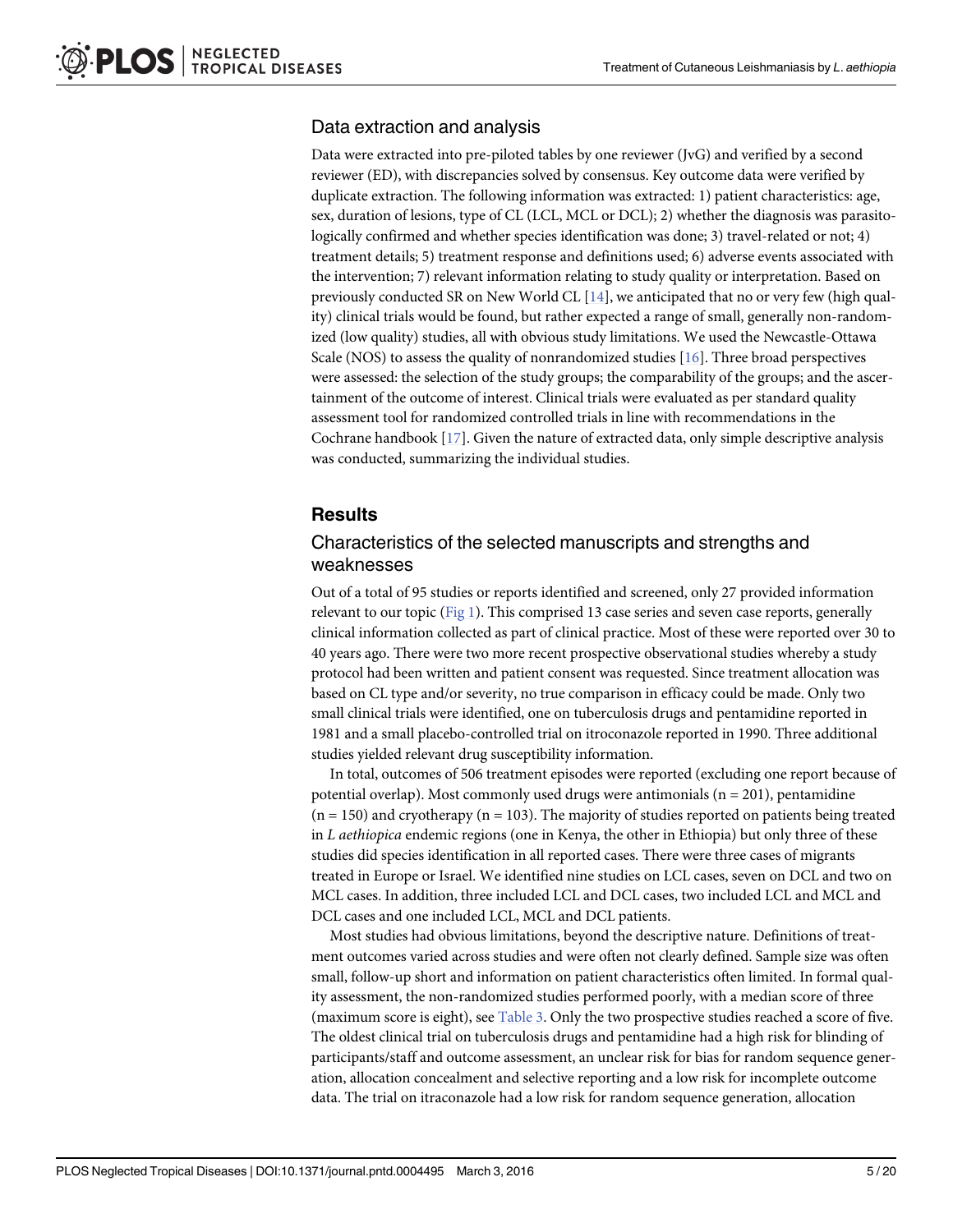## <span id="page-4-0"></span>Data extraction and analysis

Data were extracted into pre-piloted tables by one reviewer (JvG) and verified by a second reviewer (ED), with discrepancies solved by consensus. Key outcome data were verified by duplicate extraction. The following information was extracted: 1) patient characteristics: age, sex, duration of lesions, type of CL (LCL, MCL or DCL); 2) whether the diagnosis was parasitologically confirmed and whether species identification was done; 3) travel-related or not; 4) treatment details; 5) treatment response and definitions used; 6) adverse events associated with the intervention; 7) relevant information relating to study quality or interpretation. Based on previously conducted SR on New World CL  $[14]$  $[14]$  $[14]$ , we anticipated that no or very few (high quality) clinical trials would be found, but rather expected a range of small, generally non-randomized (low quality) studies, all with obvious study limitations. We used the Newcastle-Ottawa Scale (NOS) to assess the quality of nonrandomized studies  $[16]$  $[16]$ . Three broad perspectives were assessed: the selection of the study groups; the comparability of the groups; and the ascertainment of the outcome of interest. Clinical trials were evaluated as per standard quality assessment tool for randomized controlled trials in line with recommendations in the Cochrane handbook [[17](#page-17-0)]. Given the nature of extracted data, only simple descriptive analysis was conducted, summarizing the individual studies.

## **Results**

## Characteristics of the selected manuscripts and strengths and weaknesses

Out of a total of 95 studies or reports identified and screened, only 27 provided information relevant to our topic ( $Fig 1$ ). This comprised 13 case series and seven case reports, generally clinical information collected as part of clinical practice. Most of these were reported over 30 to 40 years ago. There were two more recent prospective observational studies whereby a study protocol had been written and patient consent was requested. Since treatment allocation was based on CL type and/or severity, no true comparison in efficacy could be made. Only two small clinical trials were identified, one on tuberculosis drugs and pentamidine reported in 1981 and a small placebo-controlled trial on itroconazole reported in 1990. Three additional studies yielded relevant drug susceptibility information.

In total, outcomes of 506 treatment episodes were reported (excluding one report because of potential overlap). Most commonly used drugs were antimonials  $(n = 201)$ , pentamidine  $(n = 150)$  and cryotherapy  $(n = 103)$ . The majority of studies reported on patients being treated in L aethiopica endemic regions (one in Kenya, the other in Ethiopia) but only three of these studies did species identification in all reported cases. There were three cases of migrants treated in Europe or Israel. We identified nine studies on LCL cases, seven on DCL and two on MCL cases. In addition, three included LCL and DCL cases, two included LCL and MCL and DCL cases and one included LCL, MCL and DCL patients.

Most studies had obvious limitations, beyond the descriptive nature. Definitions of treatment outcomes varied across studies and were often not clearly defined. Sample size was often small, follow-up short and information on patient characteristics often limited. In formal quality assessment, the non-randomized studies performed poorly, with a median score of three (maximum score is eight), see [Table 3](#page-6-0). Only the two prospective studies reached a score of five. The oldest clinical trial on tuberculosis drugs and pentamidine had a high risk for blinding of participants/staff and outcome assessment, an unclear risk for bias for random sequence generation, allocation concealment and selective reporting and a low risk for incomplete outcome data. The trial on itraconazole had a low risk for random sequence generation, allocation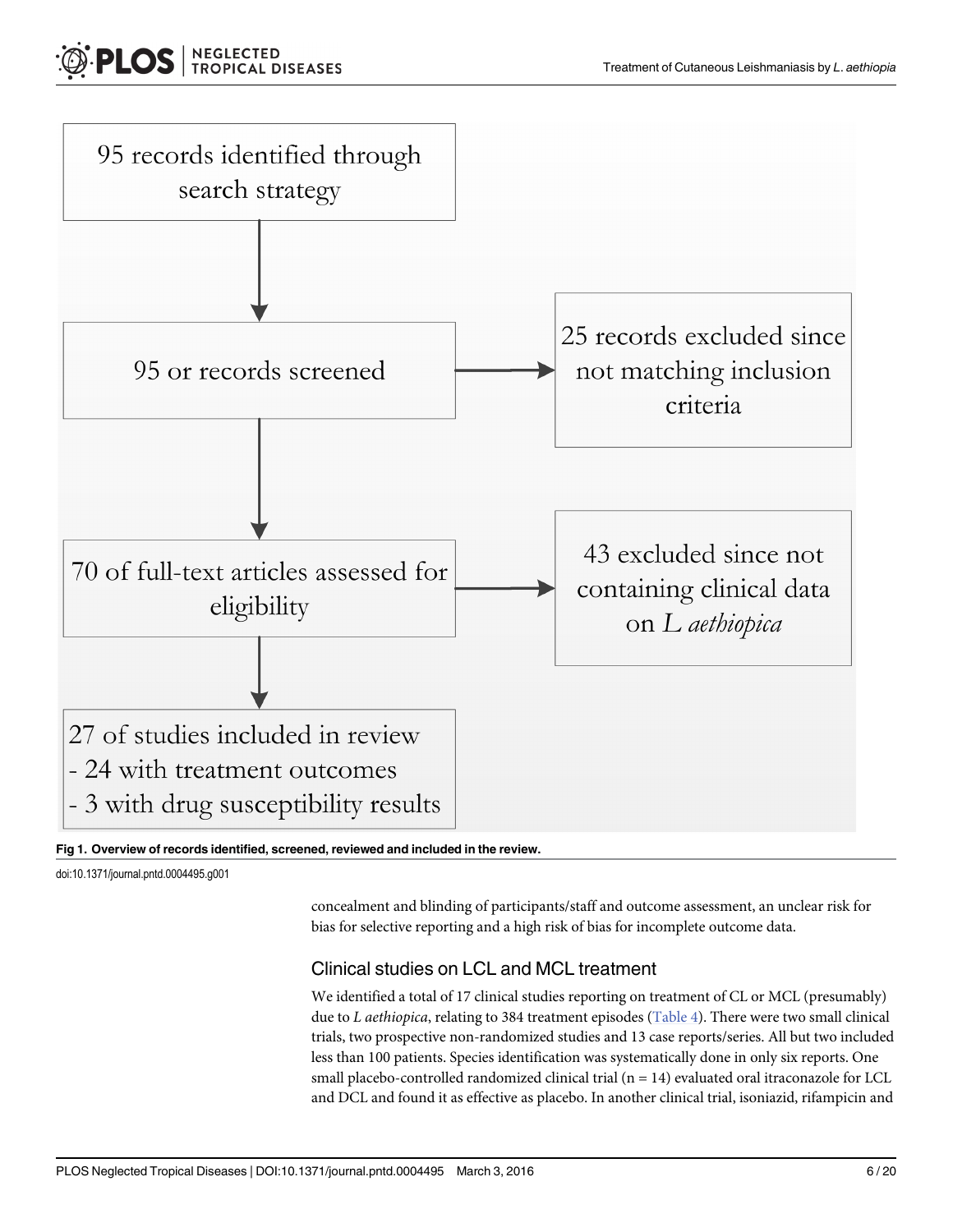<span id="page-5-0"></span>

#### [Fig 1. O](#page-4-0)verview of records identified, screened, reviewed and included in the review.

doi:10.1371/journal.pntd.0004495.g001

concealment and blinding of participants/staff and outcome assessment, an unclear risk for bias for selective reporting and a high risk of bias for incomplete outcome data.

## Clinical studies on LCL and MCL treatment

We identified a total of 17 clinical studies reporting on treatment of CL or MCL (presumably) due to L aethiopica, relating to 384 treatment episodes ( $Table 4$ ). There were two small clinical trials, two prospective non-randomized studies and 13 case reports/series. All but two included less than 100 patients. Species identification was systematically done in only six reports. One small placebo-controlled randomized clinical trial  $(n = 14)$  evaluated oral itraconazole for LCL and DCL and found it as effective as placebo. In another clinical trial, isoniazid, rifampicin and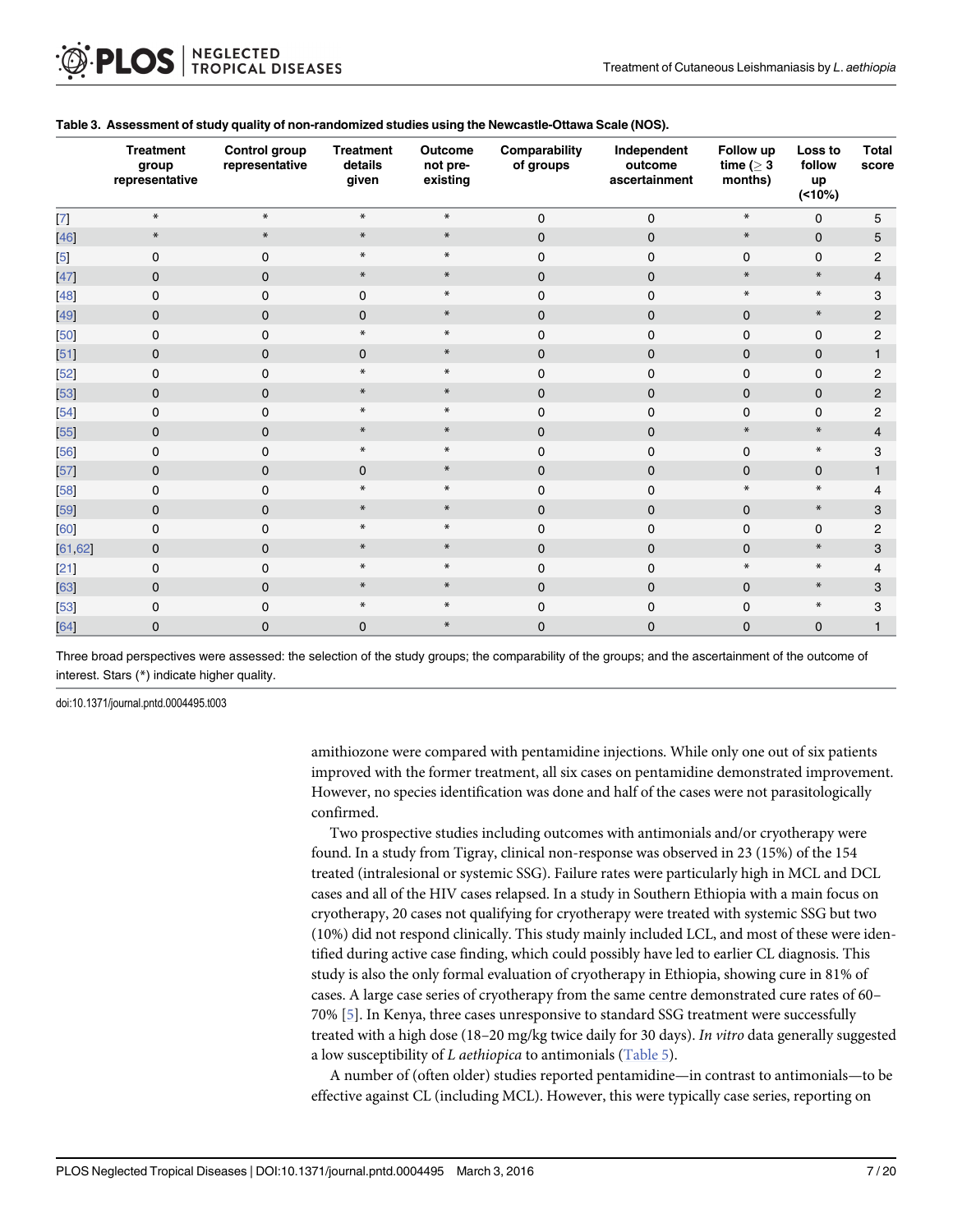|                 | <b>Treatment</b><br>group<br>representative | Control group<br>representative | <b>Treatment</b><br>details<br>given | Outcome<br>not pre-<br>existing | Comparability<br>of groups | Independent<br>outcome<br>ascertainment | Follow up<br>time ( $\geq 3$<br>months) | Loss to<br>follow<br>up<br>$(10\%)$ | Total<br>score |
|-----------------|---------------------------------------------|---------------------------------|--------------------------------------|---------------------------------|----------------------------|-----------------------------------------|-----------------------------------------|-------------------------------------|----------------|
| $\vert$ $\vert$ | $\ast$                                      | $\ast$                          | $\ast$                               | $\ast$                          | $\mathbf 0$                | $\mathbf 0$                             | $\ast$                                  | $\mathbf 0$                         | 5              |
| 46              | $\ast$                                      | $\ast$                          | $\ast$                               | $*$                             | $\mathbf{0}$               | $\mathbf{0}$                            | $\ast$                                  | $\mathbf 0$                         | 5              |
| $\overline{5}$  | $\mathbf 0$                                 | $\mathbf 0$                     | $\ast$                               | $*$                             | $\mathbf 0$                | $\mathbf 0$                             | $\mathbf 0$                             | $\mathbf 0$                         | $\overline{2}$ |
| 47              | $\mathbf{0}$                                | $\mathbf 0$                     | $\ast$                               | $\ast$                          | $\mathbf{0}$               | $\mathbf{0}$                            | $\ast$                                  | $\ast$                              | $\overline{4}$ |
| 48              | 0                                           | $\Omega$                        | $\Omega$                             | $\ast$                          | $\Omega$                   | $\Omega$                                | $\ast$                                  | $\ast$                              | 3              |
| 49              | $\mathbf{0}$                                | $\Omega$                        | $\mathbf{0}$                         | $\ast$                          | $\mathbf{0}$               | $\mathbf{0}$                            | $\mathbf{0}$                            | $\ast$                              | $\overline{2}$ |
| 50              | 0                                           | $\Omega$                        | $\ast$                               | $*$                             | $\mathbf 0$                | $\Omega$                                | $\mathbf 0$                             | $\mathbf 0$                         | $\mathbf{2}$   |
| 51              | $\mathbf{0}$                                | $\Omega$                        | $\mathbf{0}$                         | $\ast$                          | $\mathbf{0}$               | $\mathbf{0}$                            | $\mathbf{0}$                            | $\mathbf 0$                         | $\mathbf{1}$   |
| 52              | 0                                           | $\Omega$                        | $\ast$                               | $\ast$                          | $\mathbf 0$                | $\mathbf 0$                             | $\mathbf 0$                             | 0                                   | $\overline{2}$ |
| 53              | $\mathbf{0}$                                | $\mathbf{0}$                    | $\ast$                               | $\ast$                          | $\mathbf{0}$               | $\mathbf{0}$                            | $\mathbf{0}$                            | $\mathbf 0$                         | $\overline{2}$ |
| 54              | 0                                           | $\Omega$                        | $\ast$                               | $\ast$                          | $\mathbf 0$                | $\Omega$                                | $\mathbf 0$                             | 0                                   | 2              |
| 55              | $\mathbf{0}$                                | $\mathbf{0}$                    | $\ast$                               | $\ast$                          | $\mathbf{0}$               | $\mathbf{0}$                            | $\ast$                                  | $\ast$                              | $\overline{4}$ |
| 56              | 0                                           | $\Omega$                        | $\ast$                               | $\ast$                          | $\mathbf 0$                | $\mathbf 0$                             | $\mathbf 0$                             | $\ast$                              | 3              |
| [57]            | 0                                           | $\mathbf{0}$                    | $\mathbf{0}$                         | $*$                             | $\mathbf{0}$               | $\mathbf{0}$                            | $\mathbf{0}$                            | $\mathbf 0$                         | $\mathbf{1}$   |
| 58              | 0                                           | $\Omega$                        | $\ast$                               | $\ast$                          | $\mathbf 0$                | 0                                       | $\ast$                                  | $\ast$                              | 4              |
| 59              | $\mathbf{0}$                                | $\mathbf{0}$                    | $\ast$                               | $*$                             | $\mathbf{0}$               | $\mathbf{0}$                            | $\mathbf{0}$                            | $\ast$                              | 3              |
| 60              | 0                                           | $\Omega$                        | $\ast$                               | $*$                             | $\Omega$                   | 0                                       | $\mathbf 0$                             | $\mathbf 0$                         | 2              |
| [61, 62]        | $\mathbf{0}$                                | $\mathbf{0}$                    | $\ast$                               | $*$                             | $\mathbf{0}$               | $\mathbf{0}$                            | $\mathbf{0}$                            | $\ast$                              | 3              |
| [21]            | 0                                           | $\Omega$                        | $\ast$                               | $*$                             | $\mathbf 0$                | 0                                       | $\ast$                                  | $\ast$                              | 4              |
| 63              | 0                                           | $\Omega$                        | $\ast$                               | $*$                             | $\mathbf{0}$               | $\mathbf{0}$                            | $\mathbf 0$                             | $\ast$                              | 3              |
| 53              | 0                                           | $\Omega$                        | $\ast$                               | $\ast$                          | $\Omega$                   | $\Omega$                                | $\Omega$                                | $\ast$                              | 3              |
| 64              | $\mathbf{0}$                                | $\mathbf 0$                     | $\mathbf{0}$                         | $\ast$                          | $\mathbf{0}$               | $\mathbf{0}$                            | $\mathbf{0}$                            | $\mathbf{0}$                        | $\mathbf{1}$   |

#### <span id="page-6-0"></span>[Table 3.](#page-4-0) Assessment of study quality of non-randomized studies using the Newcastle-Ottawa Scale (NOS).

Three broad perspectives were assessed: the selection of the study groups; the comparability of the groups; and the ascertainment of the outcome of interest. Stars (\*) indicate higher quality.

doi:10.1371/journal.pntd.0004495.t003

amithiozone were compared with pentamidine injections. While only one out of six patients improved with the former treatment, all six cases on pentamidine demonstrated improvement. However, no species identification was done and half of the cases were not parasitologically confirmed.

Two prospective studies including outcomes with antimonials and/or cryotherapy were found. In a study from Tigray, clinical non-response was observed in 23 (15%) of the 154 treated (intralesional or systemic SSG). Failure rates were particularly high in MCL and DCL cases and all of the HIV cases relapsed. In a study in Southern Ethiopia with a main focus on cryotherapy, 20 cases not qualifying for cryotherapy were treated with systemic SSG but two (10%) did not respond clinically. This study mainly included LCL, and most of these were identified during active case finding, which could possibly have led to earlier CL diagnosis. This study is also the only formal evaluation of cryotherapy in Ethiopia, showing cure in 81% of cases. A large case series of cryotherapy from the same centre demonstrated cure rates of 60– 70% [[5\]](#page-16-0). In Kenya, three cases unresponsive to standard SSG treatment were successfully treated with a high dose (18–20 mg/kg twice daily for 30 days). In vitro data generally suggested a low susceptibility of L aethiopica to antimonials ([Table 5\)](#page-11-0).

A number of (often older) studies reported pentamidine—in contrast to antimonials—to be effective against CL (including MCL). However, this were typically case series, reporting on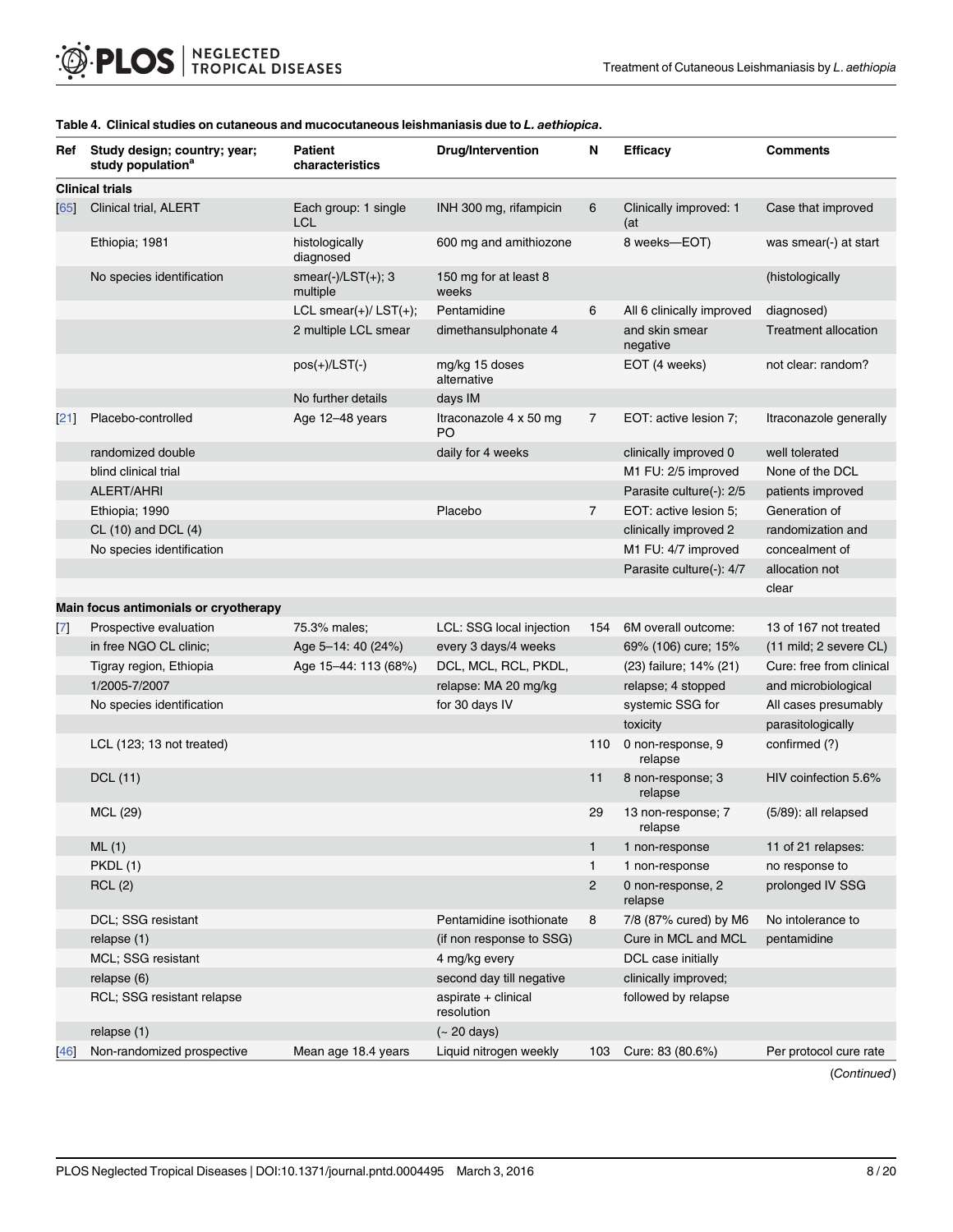| Ref             | Study design; country; year;<br>study population <sup>a</sup> | <b>Patient</b><br>characteristics  | <b>Drug/Intervention</b>                 | N              | <b>Efficacy</b>               | <b>Comments</b>                          |
|-----------------|---------------------------------------------------------------|------------------------------------|------------------------------------------|----------------|-------------------------------|------------------------------------------|
|                 | <b>Clinical trials</b>                                        |                                    |                                          |                |                               |                                          |
| 65              | Clinical trial, ALERT                                         | Each group: 1 single<br><b>LCL</b> | INH 300 mg, rifampicin                   | 6              | Clinically improved: 1<br>(at | Case that improved                       |
|                 | Ethiopia; 1981                                                | histologically<br>diagnosed        | 600 mg and amithiozone                   |                | 8 weeks-EOT)                  | was smear(-) at start                    |
|                 | No species identification                                     | smear(-)/LST(+); $3$<br>multiple   | 150 mg for at least 8<br>weeks           |                |                               | (histologically                          |
|                 |                                                               | LCL smear $(+)/$ LST $(+)$ ;       | Pentamidine                              | 6              | All 6 clinically improved     | diagnosed)                               |
|                 |                                                               | 2 multiple LCL smear               | dimethansulphonate 4                     |                | and skin smear<br>negative    | <b>Treatment allocation</b>              |
|                 |                                                               | $pos(+)/LST(-)$                    | mg/kg 15 doses<br>alternative            |                | EOT (4 weeks)                 | not clear: random?                       |
|                 |                                                               | No further details                 | days IM                                  |                |                               |                                          |
| [21]            | Placebo-controlled                                            | Age 12-48 years                    | Itraconazole 4 x 50 mg<br>P <sub>O</sub> | 7              | EOT: active lesion 7;         | Itraconazole generally                   |
|                 | randomized double                                             |                                    | daily for 4 weeks                        |                | clinically improved 0         | well tolerated                           |
|                 | blind clinical trial                                          |                                    |                                          |                | M1 FU: 2/5 improved           | None of the DCL                          |
|                 | ALERT/AHRI                                                    |                                    |                                          |                | Parasite culture(-): 2/5      | patients improved                        |
|                 | Ethiopia; 1990                                                |                                    | Placebo                                  | $\overline{7}$ | EOT: active lesion 5:         | Generation of                            |
|                 | CL (10) and DCL (4)                                           |                                    |                                          |                | clinically improved 2         | randomization and                        |
|                 | No species identification                                     |                                    |                                          |                | M1 FU: 4/7 improved           | concealment of                           |
|                 |                                                               |                                    |                                          |                | Parasite culture(-): 4/7      | allocation not                           |
|                 |                                                               |                                    |                                          |                |                               | clear                                    |
|                 | Main focus antimonials or cryotherapy                         |                                    |                                          |                |                               |                                          |
| $\boxed{7}$     | Prospective evaluation                                        | 75.3% males;                       | LCL: SSG local injection                 | 154            | 6M overall outcome:           | 13 of 167 not treated                    |
|                 | in free NGO CL clinic;                                        | Age 5-14: 40 (24%)                 | every 3 days/4 weeks                     |                | 69% (106) cure; 15%           | $(11 \text{ mild}; 2 \text{ severe CL})$ |
|                 | Tigray region, Ethiopia                                       | Age 15-44: 113 (68%)               | DCL, MCL, RCL, PKDL,                     |                | (23) failure; 14% (21)        | Cure: free from clinical                 |
|                 | 1/2005-7/2007                                                 |                                    | relapse: MA 20 mg/kg                     |                | relapse; 4 stopped            | and microbiological                      |
|                 | No species identification                                     |                                    | for 30 days IV                           |                | systemic SSG for              | All cases presumably                     |
|                 |                                                               |                                    |                                          |                | toxicity                      | parasitologically                        |
|                 | LCL (123; 13 not treated)                                     |                                    |                                          | 110            | 0 non-response, 9<br>relapse  | confirmed (?)                            |
|                 | DCL (11)                                                      |                                    |                                          | 11             | 8 non-response; 3<br>relapse  | HIV coinfection 5.6%                     |
|                 | MCL (29)                                                      |                                    |                                          | 29             | 13 non-response; 7<br>relapse | (5/89): all relapsed                     |
|                 | ML(1)                                                         |                                    |                                          | $\mathbf{1}$   | 1 non-response                | 11 of 21 relapses:                       |
|                 | PKDL (1)                                                      |                                    |                                          | $\mathbf{1}$   | 1 non-response                | no response to                           |
|                 | RCL(2)                                                        |                                    |                                          | $\overline{2}$ | 0 non-response, 2<br>relapse  | prolonged IV SSG                         |
|                 | DCL; SSG resistant                                            |                                    | Pentamidine isothionate                  | 8              | 7/8 (87% cured) by M6         | No intolerance to                        |
|                 | relapse (1)                                                   |                                    | (if non response to SSG)                 |                | Cure in MCL and MCL           | pentamidine                              |
|                 | MCL; SSG resistant                                            |                                    | 4 mg/kg every                            |                | DCL case initially            |                                          |
|                 | relapse (6)                                                   |                                    | second day till negative                 |                | clinically improved;          |                                          |
|                 | RCL; SSG resistant relapse                                    |                                    | aspirate + clinical<br>resolution        |                | followed by relapse           |                                          |
|                 | relapse(1)                                                    |                                    | $(-20 \text{ days})$                     |                |                               |                                          |
| $\overline{46}$ | Non-randomized prospective                                    | Mean age 18.4 years                | Liquid nitrogen weekly                   | 103            | Cure: 83 (80.6%)              | Per protocol cure rate                   |

#### <span id="page-7-0"></span>[Table 4.](#page-5-0) Clinical studies on cutaneous and mucocutaneous leishmaniasis due to L. aethiopica.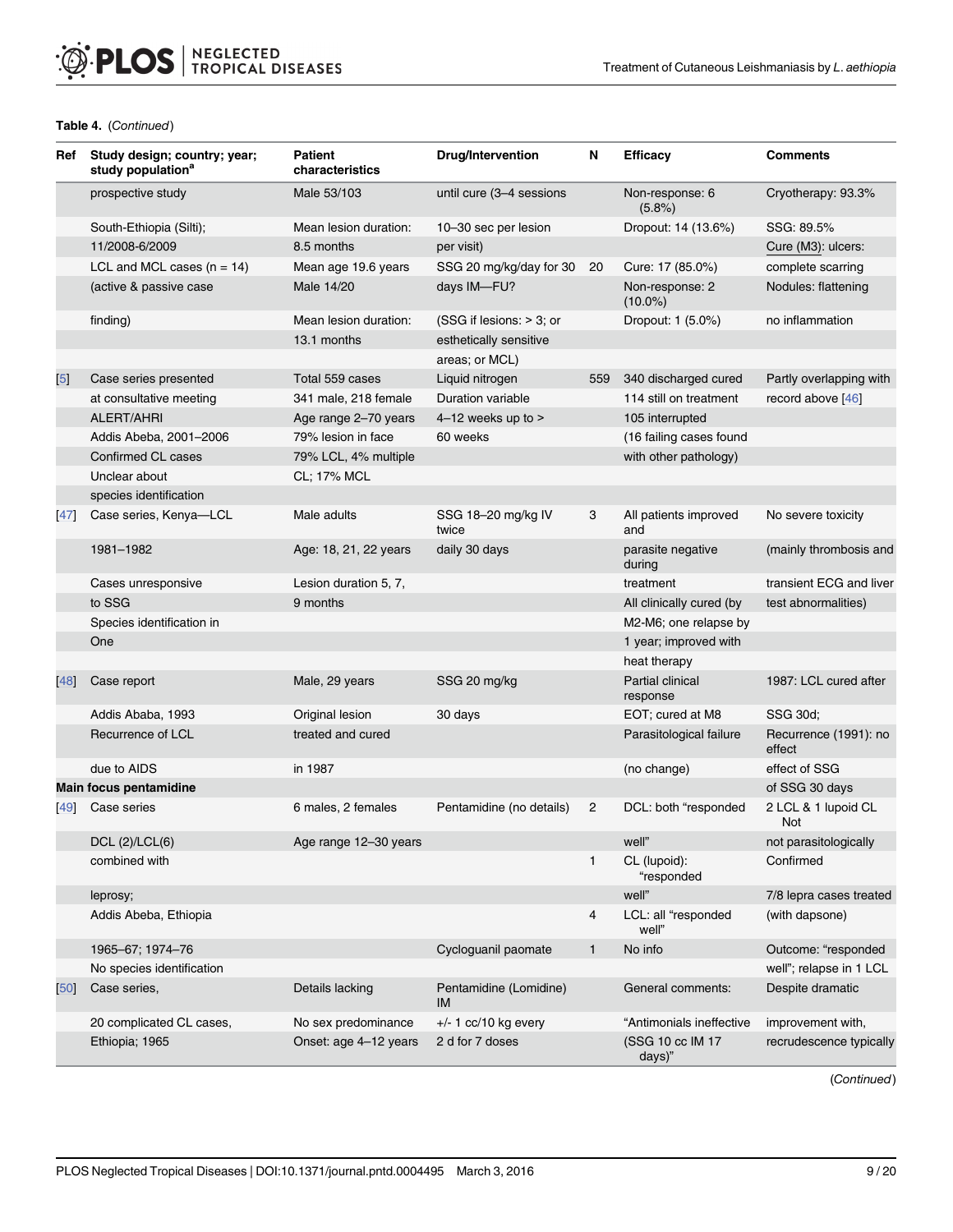## Table 4. (Continued)

| Ref            | Study design; country; year;<br>study population <sup>a</sup> | Patient<br>characteristics | <b>Drug/Intervention</b>     | N              | <b>Efficacy</b>               | <b>Comments</b>                 |
|----------------|---------------------------------------------------------------|----------------------------|------------------------------|----------------|-------------------------------|---------------------------------|
|                | prospective study                                             | Male 53/103                | until cure (3-4 sessions     |                | Non-response: 6<br>$(5.8\%)$  | Cryotherapy: 93.3%              |
|                | South-Ethiopia (Silti);                                       | Mean lesion duration:      | 10-30 sec per lesion         |                | Dropout: 14 (13.6%)           | SSG: 89.5%                      |
|                | 11/2008-6/2009                                                | 8.5 months                 | per visit)                   |                |                               | Cure (M3): ulcers:              |
|                | LCL and MCL cases $(n = 14)$                                  | Mean age 19.6 years        | SSG 20 mg/kg/day for 30      | 20             | Cure: 17 (85.0%)              | complete scarring               |
|                | (active & passive case                                        | Male 14/20                 | days IM-FU?                  |                | Non-response: 2<br>$(10.0\%)$ | Nodules: flattening             |
|                | finding)                                                      | Mean lesion duration:      | (SSG if lesions: > 3; or     |                | Dropout: 1 (5.0%)             | no inflammation                 |
|                |                                                               | 13.1 months                | esthetically sensitive       |                |                               |                                 |
|                |                                                               |                            | areas; or MCL)               |                |                               |                                 |
| $\overline{5}$ | Case series presented                                         | Total 559 cases            | Liquid nitrogen              | 559            | 340 discharged cured          | Partly overlapping with         |
|                | at consultative meeting                                       | 341 male, 218 female       | Duration variable            |                | 114 still on treatment        | record above [46]               |
|                | ALERT/AHRI                                                    | Age range 2-70 years       | 4-12 weeks up to >           |                | 105 interrupted               |                                 |
|                | Addis Abeba, 2001-2006                                        | 79% lesion in face         | 60 weeks                     |                | (16 failing cases found       |                                 |
|                | Confirmed CL cases                                            | 79% LCL, 4% multiple       |                              |                | with other pathology)         |                                 |
|                | Unclear about                                                 | CL; 17% MCL                |                              |                |                               |                                 |
|                | species identification                                        |                            |                              |                |                               |                                 |
| 47             | Case series, Kenya-LCL                                        | Male adults                | SSG 18-20 mg/kg IV<br>twice  | 3              | All patients improved<br>and  | No severe toxicity              |
|                | 1981-1982                                                     | Age: 18, 21, 22 years      | daily 30 days                |                | parasite negative<br>during   | (mainly thrombosis and          |
|                | Cases unresponsive                                            | Lesion duration 5, 7,      |                              |                | treatment                     | transient ECG and liver         |
|                | to SSG                                                        | 9 months                   |                              |                | All clinically cured (by      | test abnormalities)             |
|                | Species identification in                                     |                            |                              |                | M2-M6; one relapse by         |                                 |
|                | One                                                           |                            |                              |                | 1 year; improved with         |                                 |
|                |                                                               |                            |                              |                | heat therapy                  |                                 |
| 48             | Case report                                                   | Male, 29 years             | SSG 20 mg/kg                 |                | Partial clinical<br>response  | 1987: LCL cured after           |
|                | Addis Ababa, 1993                                             | Original lesion            | 30 days                      |                | EOT; cured at M8              | SSG 30d;                        |
|                | Recurrence of LCL                                             | treated and cured          |                              |                | Parasitological failure       | Recurrence (1991): no<br>effect |
|                | due to AIDS                                                   | in 1987                    |                              |                | (no change)                   | effect of SSG                   |
|                | <b>Main focus pentamidine</b>                                 |                            |                              |                |                               | of SSG 30 days                  |
| [49]           | Case series                                                   | 6 males, 2 females         | Pentamidine (no details)     | $\overline{c}$ | DCL: both "responded          | 2 LCL & 1 lupoid CL<br>Not      |
|                | DCL (2)/LCL(6)                                                | Age range 12-30 years      |                              |                | well"                         | not parasitologically           |
|                | combined with                                                 |                            |                              | $\mathbf{1}$   | CL (lupoid):<br>"responded    | Confirmed                       |
|                | leprosy;                                                      |                            |                              |                | well"                         | 7/8 lepra cases treated         |
|                | Addis Abeba, Ethiopia                                         |                            |                              | 4              | LCL: all "responded<br>well"  | (with dapsone)                  |
|                | 1965-67; 1974-76                                              |                            | Cycloguanil paomate          | $\mathbf{1}$   | No info                       | Outcome: "responded             |
|                | No species identification                                     |                            |                              |                |                               | well"; relapse in 1 LCL         |
| [50]           | Case series,                                                  | Details lacking            | Pentamidine (Lomidine)<br>IM |                | General comments:             | Despite dramatic                |
|                | 20 complicated CL cases,                                      | No sex predominance        | $+/- 1$ cc/10 kg every       |                | "Antimonials ineffective      | improvement with,               |
|                | Ethiopia; 1965                                                | Onset: age 4-12 years      | 2 d for 7 doses              |                | (SSG 10 cc IM 17<br>days)"    | recrudescence typically         |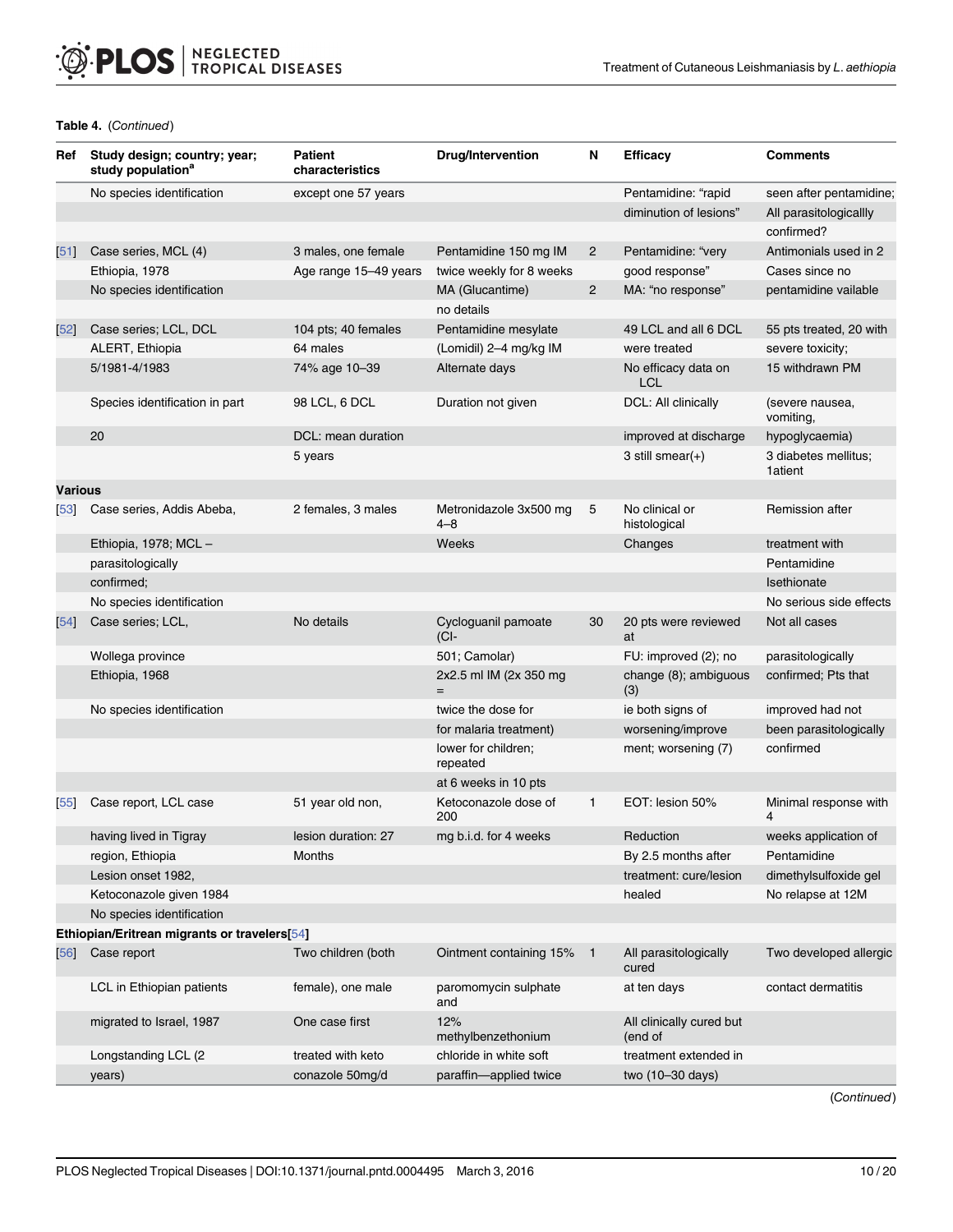## Table 4. (Continued)

| Ref         | Study design; country; year;<br>study population <sup>a</sup> | Patient<br>characteristics | <b>Drug/Intervention</b>          | N              | <b>Efficacy</b>                    | <b>Comments</b>                 |
|-------------|---------------------------------------------------------------|----------------------------|-----------------------------------|----------------|------------------------------------|---------------------------------|
|             | No species identification                                     | except one 57 years        |                                   |                | Pentamidine: "rapid                | seen after pentamidine;         |
|             |                                                               |                            |                                   |                | diminution of lesions"             | All parasitologicallly          |
|             |                                                               |                            |                                   |                |                                    | confirmed?                      |
| [51]        | Case series, MCL (4)                                          | 3 males, one female        | Pentamidine 150 mg IM             | $\mathbf{2}$   | Pentamidine: "very                 | Antimonials used in 2           |
|             | Ethiopia, 1978                                                | Age range 15-49 years      | twice weekly for 8 weeks          |                | good response"                     | Cases since no                  |
|             | No species identification                                     |                            | MA (Glucantime)                   | $\overline{2}$ | MA: "no response"                  | pentamidine vailable            |
|             |                                                               |                            | no details                        |                |                                    |                                 |
| $[52]$      | Case series; LCL, DCL                                         | 104 pts; 40 females        | Pentamidine mesylate              |                | 49 LCL and all 6 DCL               | 55 pts treated, 20 with         |
|             | ALERT, Ethiopia                                               | 64 males                   | (Lomidil) 2-4 mg/kg IM            |                | were treated                       | severe toxicity;                |
|             | 5/1981-4/1983                                                 | 74% age 10-39              | Alternate days                    |                | No efficacy data on<br><b>LCL</b>  | 15 withdrawn PM                 |
|             | Species identification in part                                | 98 LCL, 6 DCL              | Duration not given                |                | DCL: All clinically                | (severe nausea,<br>vomiting,    |
|             | 20                                                            | DCL: mean duration         |                                   |                | improved at discharge              | hypoglycaemia)                  |
|             |                                                               | 5 years                    |                                   |                | 3 still smear $(+)$                | 3 diabetes mellitus;<br>1atient |
| Various     |                                                               |                            |                                   |                |                                    |                                 |
| 53          | Case series, Addis Abeba,                                     | 2 females, 3 males         | Metronidazole 3x500 mg<br>$4 - 8$ | 5              | No clinical or<br>histological     | Remission after                 |
|             | Ethiopia, 1978; MCL -                                         |                            | Weeks                             |                | Changes                            | treatment with                  |
|             | parasitologically                                             |                            |                                   |                |                                    | Pentamidine                     |
|             | confirmed;                                                    |                            |                                   |                |                                    | Isethionate                     |
|             | No species identification                                     |                            |                                   |                |                                    | No serious side effects         |
| [54]        | Case series; LCL,                                             | No details                 | Cycloguanil pamoate<br>(CI-       | 30             | 20 pts were reviewed<br>at         | Not all cases                   |
|             | Wollega province                                              |                            | 501; Camolar)                     |                | FU: improved (2); no               | parasitologically               |
|             | Ethiopia, 1968                                                |                            | 2x2.5 ml IM (2x 350 mg            |                | change (8); ambiguous<br>(3)       | confirmed; Pts that             |
|             | No species identification                                     |                            | twice the dose for                |                | ie both signs of                   | improved had not                |
|             |                                                               |                            | for malaria treatment)            |                | worsening/improve                  | been parasitologically          |
|             |                                                               |                            | lower for children;<br>repeated   |                | ment; worsening (7)                | confirmed                       |
|             |                                                               |                            | at 6 weeks in 10 pts              |                |                                    |                                 |
| $\sqrt{55}$ | Case report, LCL case                                         | 51 year old non,           | Ketoconazole dose of<br>200       | $\mathbf{1}$   | EOT: lesion 50%                    | Minimal response with<br>4      |
|             | having lived in Tigray                                        | lesion duration: 27        | mg b.i.d. for 4 weeks             |                | Reduction                          | weeks application of            |
|             | region, Ethiopia                                              | <b>Months</b>              |                                   |                | By 2.5 months after                | Pentamidine                     |
|             | Lesion onset 1982,                                            |                            |                                   |                | treatment: cure/lesion             | dimethylsulfoxide gel           |
|             | Ketoconazole given 1984                                       |                            |                                   |                | healed                             | No relapse at 12M               |
|             | No species identification                                     |                            |                                   |                |                                    |                                 |
|             | Ethiopian/Eritrean migrants or travelers[54]                  |                            |                                   |                |                                    |                                 |
| 56          | Case report                                                   | Two children (both         | Ointment containing 15%           | $\blacksquare$ | All parasitologically<br>cured     | Two developed allergic          |
|             | LCL in Ethiopian patients                                     | female), one male          | paromomycin sulphate<br>and       |                | at ten days                        | contact dermatitis              |
|             | migrated to Israel, 1987                                      | One case first             | 12%<br>methylbenzethonium         |                | All clinically cured but<br>end of |                                 |
|             | Longstanding LCL (2                                           | treated with keto          | chloride in white soft            |                | treatment extended in              |                                 |
|             | years)                                                        | conazole 50mg/d            | paraffin-applied twice            |                | two (10-30 days)                   |                                 |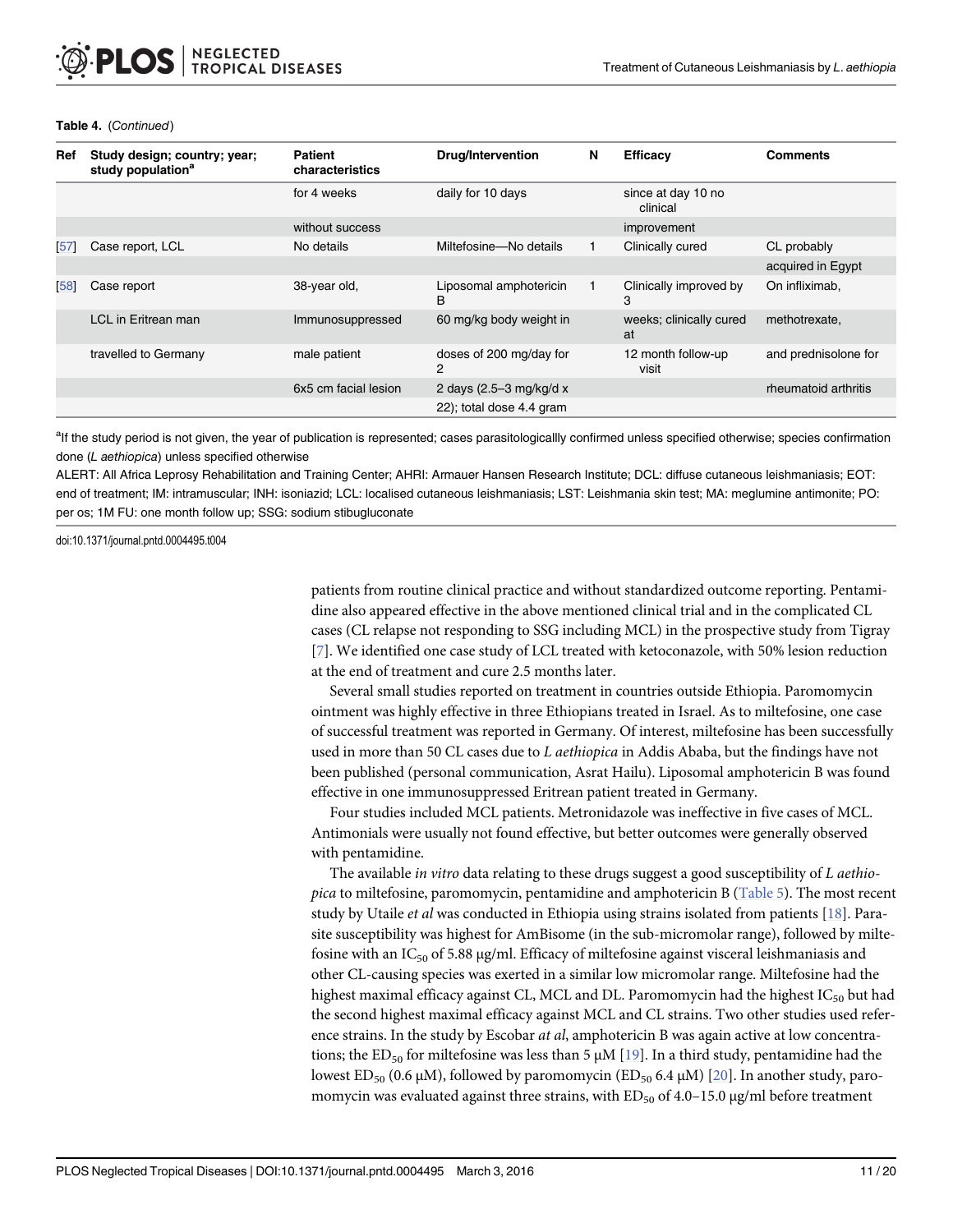| Ref | Study design; country; year;<br>study population <sup>a</sup> | <b>Patient</b><br>characteristics | <b>Drug/Intervention</b>     | N | Efficacy                       | <b>Comments</b>      |
|-----|---------------------------------------------------------------|-----------------------------------|------------------------------|---|--------------------------------|----------------------|
|     |                                                               | for 4 weeks                       | daily for 10 days            |   | since at day 10 no<br>clinical |                      |
|     |                                                               | without success                   |                              |   | improvement                    |                      |
| 571 | Case report, LCL                                              | No details                        | Miltefosine-No details       |   | Clinically cured               | CL probably          |
|     |                                                               |                                   |                              |   |                                | acquired in Egypt    |
| 58  | Case report                                                   | 38-year old,                      | Liposomal amphotericin<br>B  |   | Clinically improved by<br>3    | On infliximab,       |
|     | LCL in Eritrean man                                           | Immunosuppressed                  | 60 mg/kg body weight in      |   | weeks; clinically cured<br>at  | methotrexate,        |
|     | travelled to Germany                                          | male patient                      | doses of 200 mg/day for<br>2 |   | 12 month follow-up<br>visit    | and prednisolone for |
|     |                                                               | 6x5 cm facial lesion              | 2 days (2.5–3 mg/kg/d x      |   |                                | rheumatoid arthritis |
|     |                                                               |                                   | 22); total dose 4.4 gram     |   |                                |                      |

#### <span id="page-10-0"></span>Table 4. (Continued)

<sup>a</sup>lf the study period is not given, the year of publication is represented; cases parasitologicallly confirmed unless specified otherwise; species confirmation done (L aethiopica) unless specified otherwise

ALERT: All Africa Leprosy Rehabilitation and Training Center; AHRI: Armauer Hansen Research Institute; DCL: diffuse cutaneous leishmaniasis; EOT: end of treatment; IM: intramuscular; INH: isoniazid; LCL: localised cutaneous leishmaniasis; LST: Leishmania skin test; MA: meglumine antimonite; PO: per os; 1M FU: one month follow up; SSG: sodium stibugluconate

doi:10.1371/journal.pntd.0004495.t004

patients from routine clinical practice and without standardized outcome reporting. Pentamidine also appeared effective in the above mentioned clinical trial and in the complicated CL cases (CL relapse not responding to SSG including MCL) in the prospective study from Tigray [\[7](#page-16-0)]. We identified one case study of LCL treated with ketoconazole, with 50% lesion reduction at the end of treatment and cure 2.5 months later.

Several small studies reported on treatment in countries outside Ethiopia. Paromomycin ointment was highly effective in three Ethiopians treated in Israel. As to miltefosine, one case of successful treatment was reported in Germany. Of interest, miltefosine has been successfully used in more than 50 CL cases due to L aethiopica in Addis Ababa, but the findings have not been published (personal communication, Asrat Hailu). Liposomal amphotericin B was found effective in one immunosuppressed Eritrean patient treated in Germany.

Four studies included MCL patients. Metronidazole was ineffective in five cases of MCL. Antimonials were usually not found effective, but better outcomes were generally observed with pentamidine.

The available in vitro data relating to these drugs suggest a good susceptibility of L aethio-pica to miltefosine, paromomycin, pentamidine and amphotericin B ([Table 5\)](#page-11-0). The most recent study by Utaile et al was conducted in Ethiopia using strains isolated from patients [[18](#page-17-0)]. Parasite susceptibility was highest for AmBisome (in the sub-micromolar range), followed by miltefosine with an  $IC_{50}$  of 5.88 μg/ml. Efficacy of miltefosine against visceral leishmaniasis and other CL-causing species was exerted in a similar low micromolar range. Miltefosine had the highest maximal efficacy against CL, MCL and DL. Paromomycin had the highest  $IC_{50}$  but had the second highest maximal efficacy against MCL and CL strains. Two other studies used reference strains. In the study by Escobar at al, amphotericin B was again active at low concentrations; the ED<sub>50</sub> for miltefosine was less than 5  $\mu$ M [\[19](#page-17-0)]. In a third study, pentamidine had the lowest ED<sub>50</sub> (0.6 μM), followed by paromomycin (ED<sub>50</sub> 6.4 μM) [\[20\]](#page-17-0). In another study, paromomycin was evaluated against three strains, with  $ED_{50}$  of 4.0–15.0  $\mu$ g/ml before treatment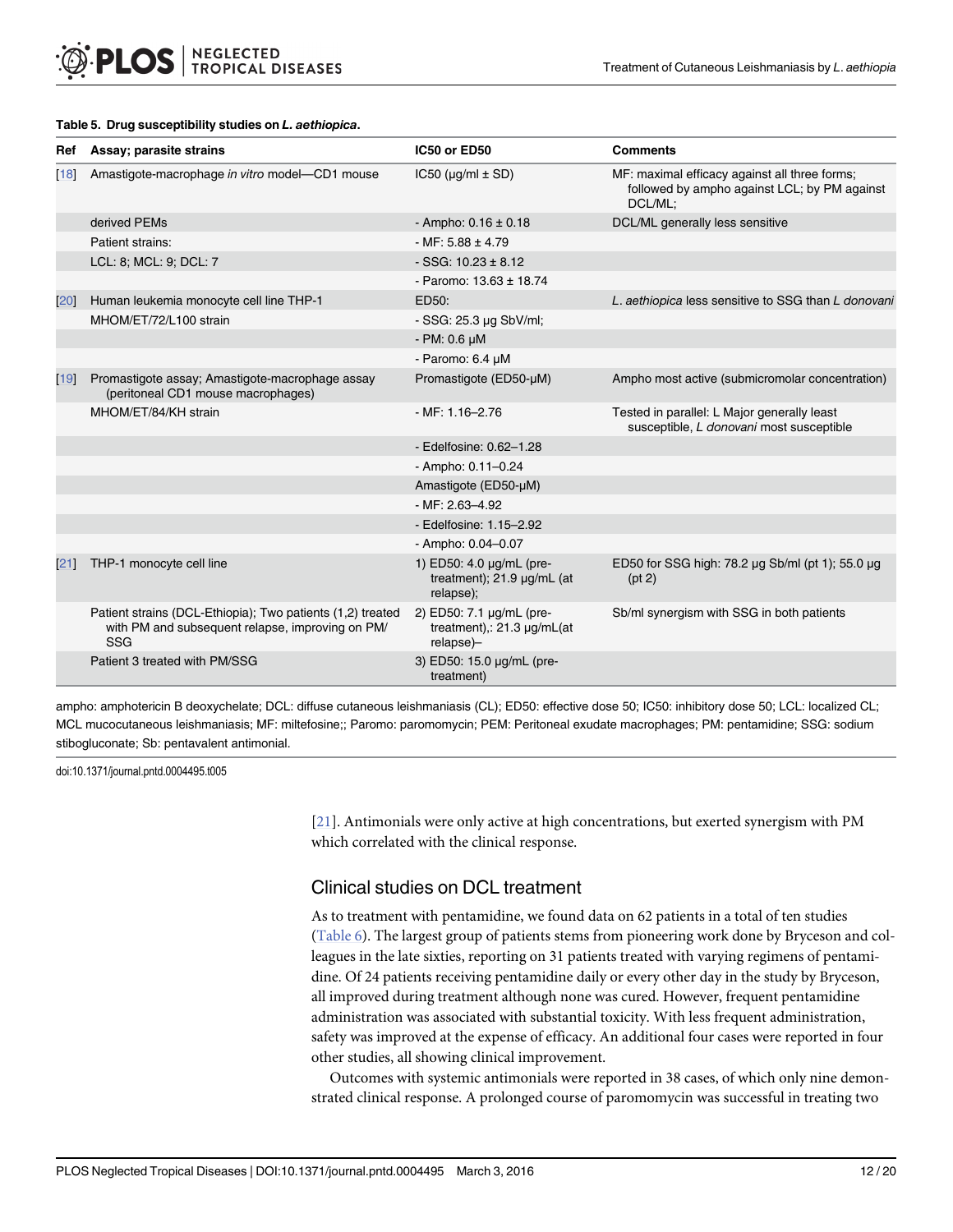| Ref | Assay; parasite strains                                                                                               | IC50 or ED50                                                              | <b>Comments</b>                                                                                          |
|-----|-----------------------------------------------------------------------------------------------------------------------|---------------------------------------------------------------------------|----------------------------------------------------------------------------------------------------------|
| 18  | Amastigote-macrophage in vitro model-CD1 mouse                                                                        | $IC50$ ( $\mu$ g/ml $\pm$ SD)                                             | MF: maximal efficacy against all three forms;<br>followed by ampho against LCL; by PM against<br>DCL/ML: |
|     | derived PEMs                                                                                                          | - Ampho: $0.16 \pm 0.18$                                                  | DCL/ML generally less sensitive                                                                          |
|     | Patient strains:                                                                                                      | $-MF: 5.88 \pm 4.79$                                                      |                                                                                                          |
|     | LCL: 8; MCL: 9; DCL: 7                                                                                                | $-SSG: 10.23 \pm 8.12$                                                    |                                                                                                          |
|     |                                                                                                                       | - Paromo: $13.63 \pm 18.74$                                               |                                                                                                          |
| 20  | Human leukemia monocyte cell line THP-1                                                                               | ED50:                                                                     | L. aethiopica less sensitive to SSG than L donovani                                                      |
|     | MHOM/ET/72/L100 strain                                                                                                | - SSG: 25.3 µg SbV/ml;                                                    |                                                                                                          |
|     |                                                                                                                       | $-$ PM: 0.6 $\mu$ M                                                       |                                                                                                          |
|     |                                                                                                                       | - Paromo: 6.4 µM                                                          |                                                                                                          |
| 19  | Promastigote assay; Amastigote-macrophage assay<br>(peritoneal CD1 mouse macrophages)                                 | Promastigote (ED50-µM)                                                    | Ampho most active (submicromolar concentration)                                                          |
|     | MHOM/ET/84/KH strain                                                                                                  | $-MF: 1.16 - 2.76$                                                        | Tested in parallel: L Major generally least<br>susceptible, L donovani most susceptible                  |
|     |                                                                                                                       | - Edelfosine: 0.62-1.28                                                   |                                                                                                          |
|     |                                                                                                                       | - Ampho: $0.11 - 0.24$                                                    |                                                                                                          |
|     |                                                                                                                       | Amastigote (ED50-µM)                                                      |                                                                                                          |
|     |                                                                                                                       | $-MF: 2.63 - 4.92$                                                        |                                                                                                          |
|     |                                                                                                                       | - Edelfosine: 1.15-2.92                                                   |                                                                                                          |
|     |                                                                                                                       | - Ampho: 0.04-0.07                                                        |                                                                                                          |
| 21  | THP-1 monocyte cell line                                                                                              | 1) ED50: 4.0 µg/mL (pre-<br>treatment); 21.9 µg/mL (at<br>relapse);       | ED50 for SSG high: 78.2 µg Sb/ml (pt 1); 55.0 µg<br>(pt 2)                                               |
|     | Patient strains (DCL-Ethiopia); Two patients (1,2) treated<br>with PM and subsequent relapse, improving on PM/<br>SSG | 2) ED50: 7.1 µg/mL (pre-<br>treatment),: $21.3 \mu g/mL(at)$<br>relapse)- | Sb/ml synergism with SSG in both patients                                                                |
|     | Patient 3 treated with PM/SSG                                                                                         | 3) ED50: 15.0 µg/mL (pre-<br>treatment)                                   |                                                                                                          |

#### <span id="page-11-0"></span>[Table 5.](#page-6-0) Drug susceptibility studies on L. aethiopica.

ampho: amphotericin B deoxychelate; DCL: diffuse cutaneous leishmaniasis (CL); ED50: effective dose 50; IC50: inhibitory dose 50; LCL: localized CL; MCL mucocutaneous leishmaniasis; MF: miltefosine;; Paromo: paromomycin; PEM: Peritoneal exudate macrophages; PM: pentamidine; SSG: sodium stibogluconate; Sb: pentavalent antimonial.

doi:10.1371/journal.pntd.0004495.t005

[\[21](#page-17-0)]. Antimonials were only active at high concentrations, but exerted synergism with PM which correlated with the clinical response.

## Clinical studies on DCL treatment

As to treatment with pentamidine, we found data on 62 patients in a total of ten studies [\(Table 6\)](#page-12-0). The largest group of patients stems from pioneering work done by Bryceson and colleagues in the late sixties, reporting on 31 patients treated with varying regimens of pentamidine. Of 24 patients receiving pentamidine daily or every other day in the study by Bryceson, all improved during treatment although none was cured. However, frequent pentamidine administration was associated with substantial toxicity. With less frequent administration, safety was improved at the expense of efficacy. An additional four cases were reported in four other studies, all showing clinical improvement.

Outcomes with systemic antimonials were reported in 38 cases, of which only nine demonstrated clinical response. A prolonged course of paromomycin was successful in treating two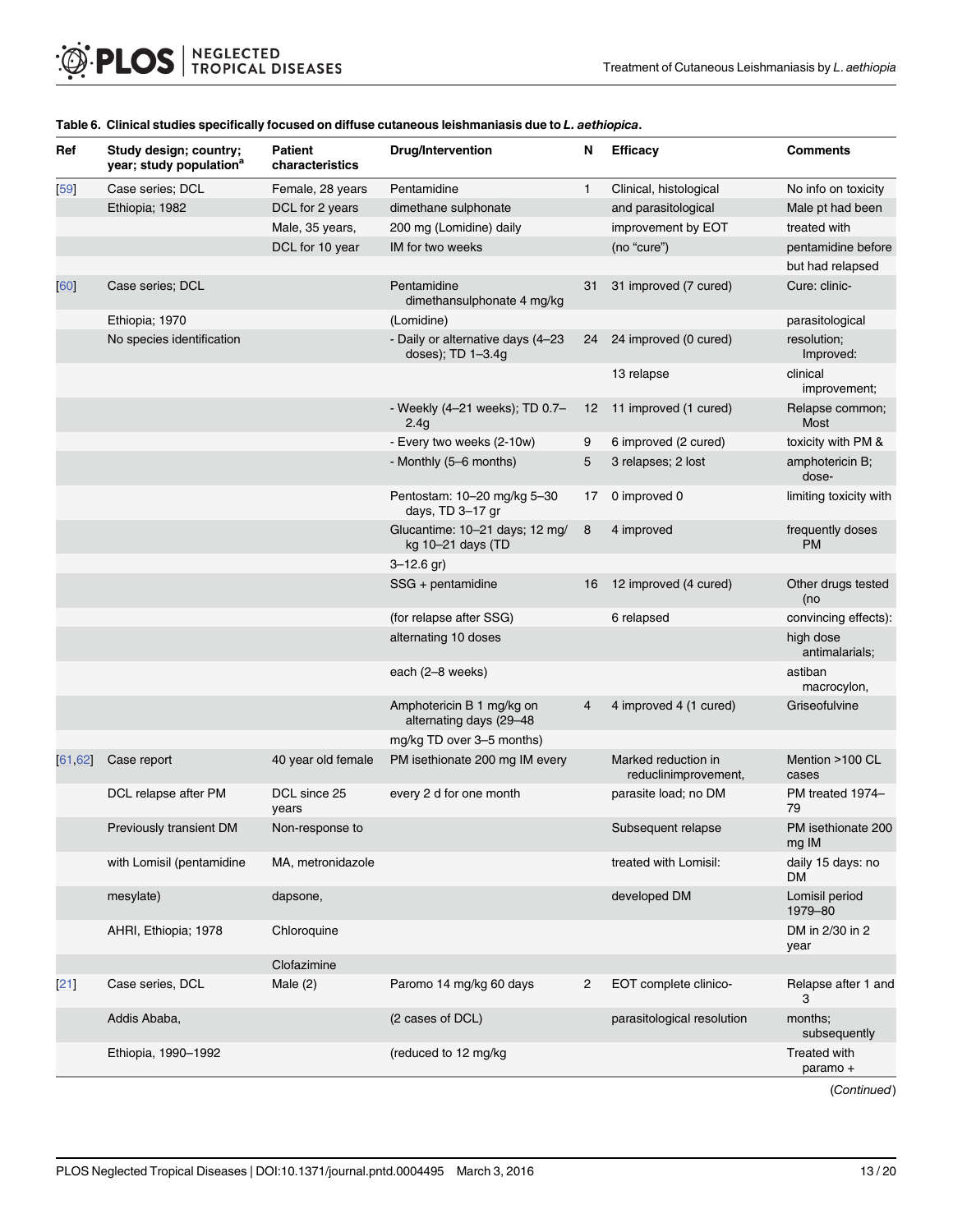| Ref         | Study design; country;<br>year; study population <sup>a</sup> | <b>Patient</b><br>characteristics | <b>Drug/Intervention</b>                               | N  | <b>Efficacy</b>                             | <b>Comments</b>                 |
|-------------|---------------------------------------------------------------|-----------------------------------|--------------------------------------------------------|----|---------------------------------------------|---------------------------------|
| $\sqrt{59}$ | Case series; DCL                                              | Female, 28 years                  | Pentamidine                                            | 1  | Clinical, histological                      | No info on toxicity             |
|             | Ethiopia; 1982                                                | DCL for 2 years                   | dimethane sulphonate                                   |    | and parasitological                         | Male pt had been                |
|             |                                                               | Male, 35 years,                   | 200 mg (Lomidine) daily                                |    | improvement by EOT                          | treated with                    |
|             |                                                               | DCL for 10 year                   | IM for two weeks                                       |    | (no "cure")                                 | pentamidine before              |
|             |                                                               |                                   |                                                        |    |                                             | but had relapsed                |
| 60          | Case series; DCL                                              |                                   | Pentamidine<br>dimethansulphonate 4 mg/kg              | 31 | 31 improved (7 cured)                       | Cure: clinic-                   |
|             | Ethiopia; 1970                                                |                                   | (Lomidine)                                             |    |                                             | parasitological                 |
|             | No species identification                                     |                                   | - Daily or alternative days (4-23<br>doses); TD 1-3.4g | 24 | 24 improved (0 cured)                       | resolution;<br>Improved:        |
|             |                                                               |                                   |                                                        |    | 13 relapse                                  | clinical<br>improvement;        |
|             |                                                               |                                   | - Weekly (4-21 weeks); TD 0.7-<br>2.4 <sub>g</sub>     | 12 | 11 improved (1 cured)                       | Relapse common;<br>Most         |
|             |                                                               |                                   | - Every two weeks (2-10w)                              | 9  | 6 improved (2 cured)                        | toxicity with PM &              |
|             |                                                               |                                   | - Monthly (5-6 months)                                 | 5  | 3 relapses; 2 lost                          | amphotericin B;<br>dose-        |
|             |                                                               |                                   | Pentostam: 10-20 mg/kg 5-30<br>days, TD 3-17 gr        | 17 | 0 improved 0                                | limiting toxicity with          |
|             |                                                               |                                   | Glucantime: 10-21 days; 12 mg/<br>kg 10-21 days (TD    | 8  | 4 improved                                  | frequently doses<br><b>PM</b>   |
|             |                                                               |                                   | $3 - 12.6$ gr)                                         |    |                                             |                                 |
|             |                                                               |                                   | SSG + pentamidine                                      | 16 | 12 improved (4 cured)                       | Other drugs tested<br>(no       |
|             |                                                               |                                   | (for relapse after SSG)                                |    | 6 relapsed                                  | convincing effects):            |
|             |                                                               |                                   | alternating 10 doses                                   |    |                                             | high dose<br>antimalarials;     |
|             |                                                               |                                   | each (2-8 weeks)                                       |    |                                             | astiban<br>macrocylon,          |
|             |                                                               |                                   | Amphotericin B 1 mg/kg on<br>alternating days (29-48   | 4  | 4 improved 4 (1 cured)                      | Griseofulvine                   |
|             |                                                               |                                   | mg/kg TD over 3-5 months)                              |    |                                             |                                 |
| [61, 62]    | Case report                                                   | 40 year old female                | PM isethionate 200 mg IM every                         |    | Marked reduction in<br>reduclinimprovement, | Mention >100 CL<br>cases        |
|             | DCL relapse after PM                                          | DCL since 25<br>years             | every 2 d for one month                                |    | parasite load; no DM                        | PM treated 1974-<br>79          |
|             | Previously transient DM                                       | Non-response to                   |                                                        |    | Subsequent relapse                          | PM isethionate 200<br>mg IM     |
|             | with Lomisil (pentamidine                                     | MA, metronidazole                 |                                                        |    | treated with Lomisil:                       | daily 15 days: no<br><b>DM</b>  |
|             | mesylate)                                                     | dapsone,                          |                                                        |    | developed DM                                | Lomisil period<br>1979-80       |
|             | AHRI, Ethiopia; 1978                                          | Chloroquine                       |                                                        |    |                                             | DM in 2/30 in 2<br>year         |
|             |                                                               | Clofazimine                       |                                                        |    |                                             |                                 |
| [21]        | Case series, DCL                                              | Male $(2)$                        | Paromo 14 mg/kg 60 days                                | 2  | EOT complete clinico-                       | Relapse after 1 and<br>3        |
|             | Addis Ababa,                                                  |                                   | (2 cases of DCL)                                       |    | parasitological resolution                  | months;<br>subsequently         |
|             | Ethiopia, 1990-1992                                           |                                   | (reduced to 12 mg/kg)                                  |    |                                             | <b>Treated with</b><br>paramo + |

#### <span id="page-12-0"></span>[Table 6.](#page-11-0) Clinical studies specifically focused on diffuse cutaneous leishmaniasis due to L. aethiopica.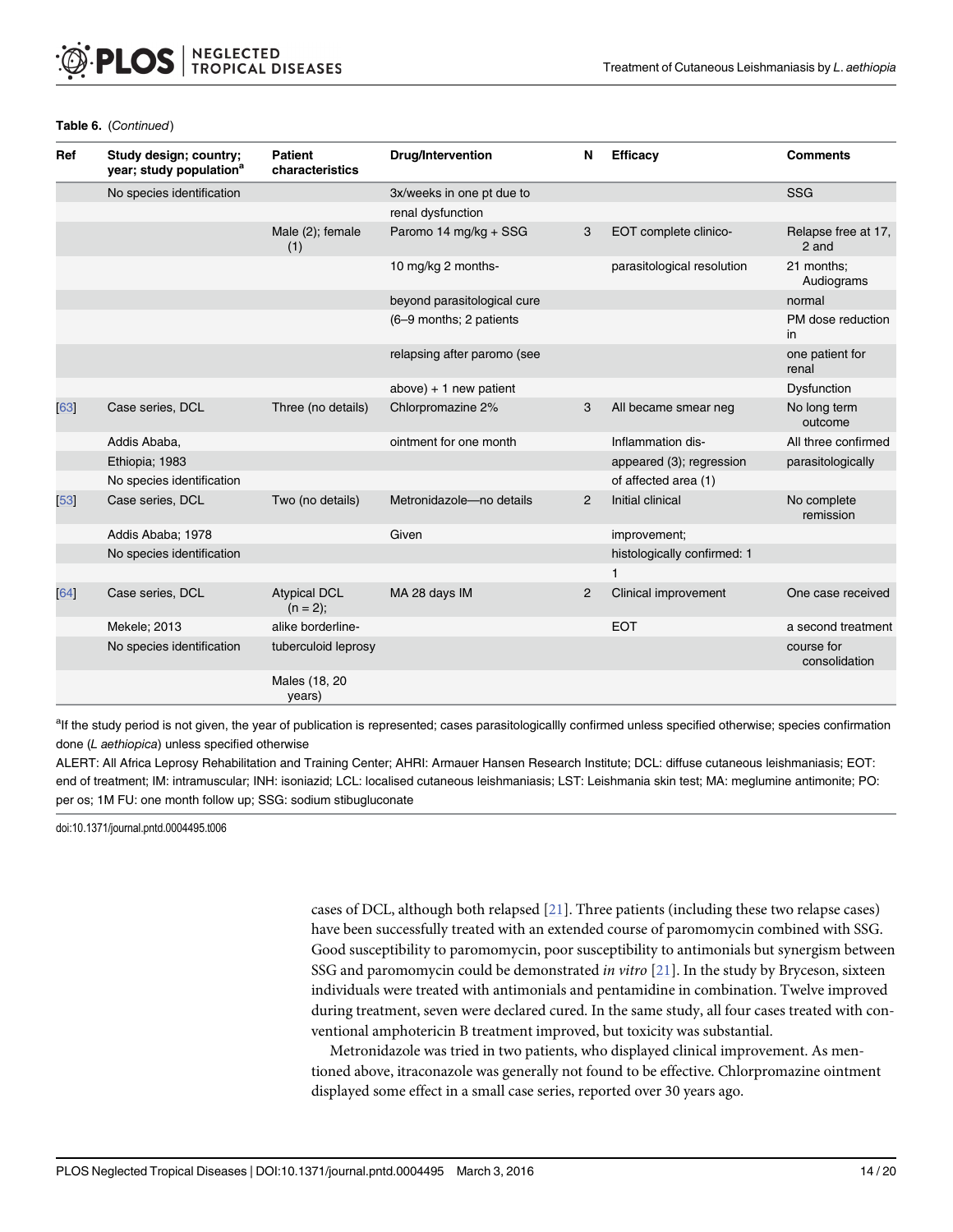| Ref  | Study design; country;<br>year; study population <sup>a</sup> | <b>Patient</b><br>characteristics | <b>Drug/Intervention</b>    | N              | <b>Efficacy</b>             | <b>Comments</b>              |
|------|---------------------------------------------------------------|-----------------------------------|-----------------------------|----------------|-----------------------------|------------------------------|
|      | No species identification                                     |                                   | 3x/weeks in one pt due to   |                |                             | <b>SSG</b>                   |
|      |                                                               |                                   | renal dysfunction           |                |                             |                              |
|      |                                                               | Male (2); female<br>(1)           | Paromo 14 mg/kg + SSG       | 3              | EOT complete clinico-       | Relapse free at 17,<br>2 and |
|      |                                                               |                                   | 10 mg/kg 2 months-          |                | parasitological resolution  | 21 months;<br>Audiograms     |
|      |                                                               |                                   | beyond parasitological cure |                |                             | normal                       |
|      |                                                               |                                   | (6-9 months; 2 patients     |                |                             | PM dose reduction<br>in      |
|      |                                                               |                                   | relapsing after paromo (see |                |                             | one patient for<br>renal     |
|      |                                                               |                                   | $above$ ) + 1 new patient   |                |                             | Dysfunction                  |
| 63   | Case series, DCL                                              | Three (no details)                | Chlorpromazine 2%           | 3              | All became smear neg        | No long term<br>outcome      |
|      | Addis Ababa,                                                  |                                   | ointment for one month      |                | Inflammation dis-           | All three confirmed          |
|      | Ethiopia; 1983                                                |                                   |                             |                | appeared (3); regression    | parasitologically            |
|      | No species identification                                     |                                   |                             |                | of affected area (1)        |                              |
| [53] | Case series, DCL                                              | Two (no details)                  | Metronidazole-no details    | 2              | Initial clinical            | No complete<br>remission     |
|      | Addis Ababa; 1978                                             |                                   | Given                       |                | improvement;                |                              |
|      | No species identification                                     |                                   |                             |                | histologically confirmed: 1 |                              |
|      |                                                               |                                   |                             |                | 1                           |                              |
| 64   | Case series, DCL                                              | <b>Atypical DCL</b><br>$(n = 2);$ | MA 28 days IM               | $\overline{2}$ | Clinical improvement        | One case received            |
|      | Mekele; 2013                                                  | alike borderline-                 |                             |                | <b>EOT</b>                  | a second treatment           |
|      | No species identification                                     | tuberculoid leprosy               |                             |                |                             | course for<br>consolidation  |
|      |                                                               | Males (18, 20<br>years)           |                             |                |                             |                              |

#### Table 6. (Continued)

<sup>a</sup>lf the study period is not given, the year of publication is represented; cases parasitologicallly confirmed unless specified otherwise; species confirmation done (L aethiopica) unless specified otherwise

ALERT: All Africa Leprosy Rehabilitation and Training Center; AHRI: Armauer Hansen Research Institute; DCL: diffuse cutaneous leishmaniasis; EOT: end of treatment; IM: intramuscular; INH: isoniazid; LCL: localised cutaneous leishmaniasis; LST: Leishmania skin test; MA: meglumine antimonite; PO: per os; 1M FU: one month follow up; SSG: sodium stibugluconate

doi:10.1371/journal.pntd.0004495.t006

cases of DCL, although both relapsed [[21](#page-17-0)]. Three patients (including these two relapse cases) have been successfully treated with an extended course of paromomycin combined with SSG. Good susceptibility to paromomycin, poor susceptibility to antimonials but synergism between SSG and paromomycin could be demonstrated *in vitro* [[21](#page-17-0)]. In the study by Bryceson, sixteen individuals were treated with antimonials and pentamidine in combination. Twelve improved during treatment, seven were declared cured. In the same study, all four cases treated with conventional amphotericin B treatment improved, but toxicity was substantial.

Metronidazole was tried in two patients, who displayed clinical improvement. As mentioned above, itraconazole was generally not found to be effective. Chlorpromazine ointment displayed some effect in a small case series, reported over 30 years ago.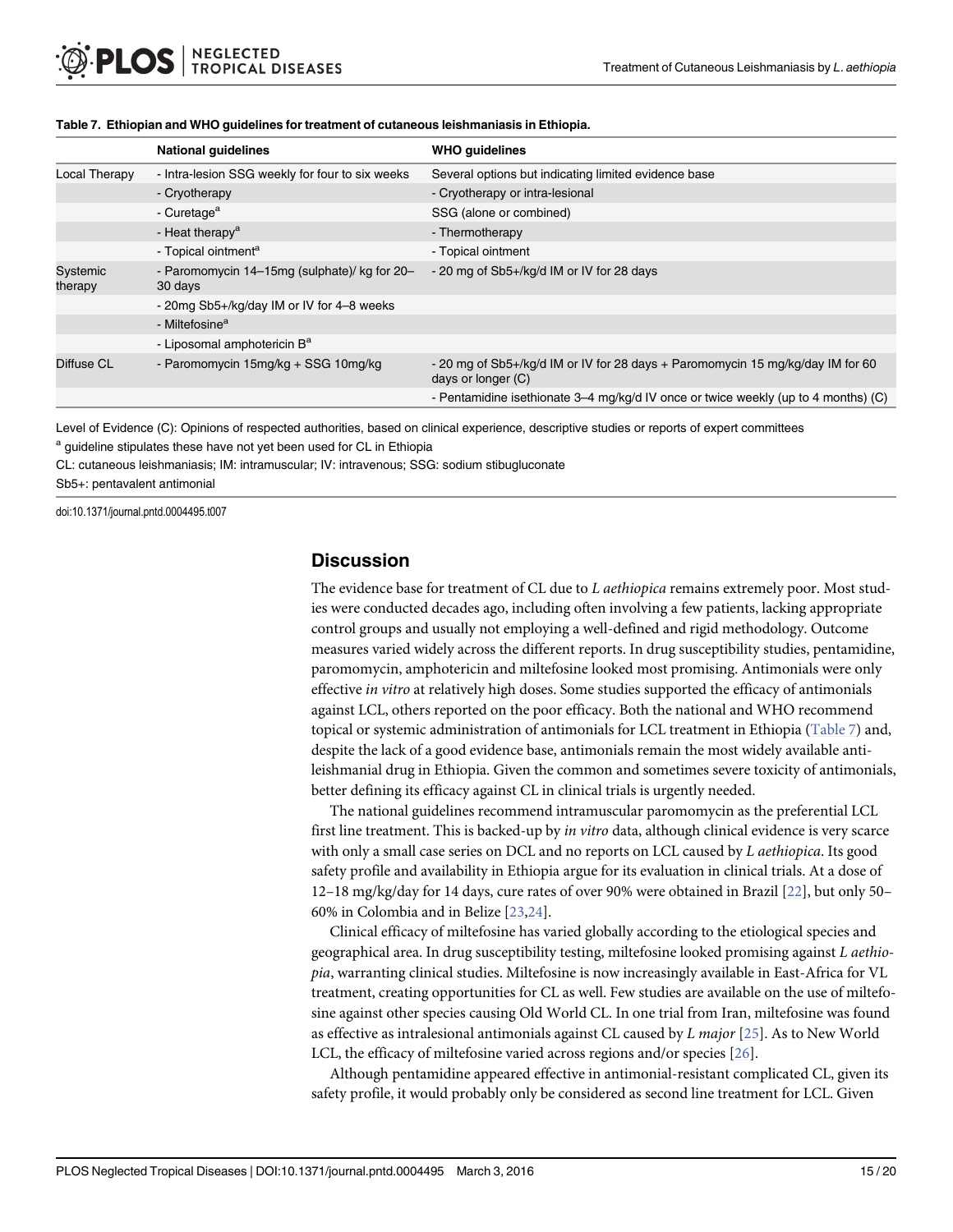|                     | <b>National guidelines</b>                              | <b>WHO quidelines</b>                                                                                |
|---------------------|---------------------------------------------------------|------------------------------------------------------------------------------------------------------|
| Local Therapy       | - Intra-lesion SSG weekly for four to six weeks         | Several options but indicating limited evidence base                                                 |
|                     | - Cryotherapy                                           | - Cryotherapy or intra-lesional                                                                      |
|                     | - Curetage <sup>a</sup>                                 | SSG (alone or combined)                                                                              |
|                     | - Heat therapy <sup>a</sup>                             | - Thermotherapy                                                                                      |
|                     | - Topical ointment <sup>a</sup>                         | - Topical ointment                                                                                   |
| Systemic<br>therapy | - Paromomycin 14–15mg (sulphate)/ kg for 20–<br>30 days | - 20 mg of Sb5+/kg/d IM or IV for 28 days                                                            |
|                     | - 20mg Sb5+/kg/day IM or IV for 4-8 weeks               |                                                                                                      |
|                     | - Miltefosine <sup>a</sup>                              |                                                                                                      |
|                     | - Liposomal amphotericin B <sup>a</sup>                 |                                                                                                      |
| Diffuse CL          | - Paromomycin 15mg/kg + SSG 10mg/kg                     | - 20 mg of Sb5+/kg/d IM or IV for 28 days + Paromomycin 15 mg/kg/day IM for 60<br>days or longer (C) |
|                     |                                                         | - Pentamidine isethionate 3–4 mg/kg/d IV once or twice weekly (up to 4 months) (C)                   |

#### <span id="page-14-0"></span>Table 7. Ethiopian and WHO guidelines for treatment of cutaneous leishmaniasis in Ethiopia.

Level of Evidence (C): Opinions of respected authorities, based on clinical experience, descriptive studies or reports of expert committees

<sup>a</sup> guideline stipulates these have not yet been used for CL in Ethiopia

CL: cutaneous leishmaniasis; IM: intramuscular; IV: intravenous; SSG: sodium stibugluconate

Sb5+: pentavalent antimonial

doi:10.1371/journal.pntd.0004495.t007

### **Discussion**

The evidence base for treatment of CL due to L aethiopica remains extremely poor. Most studies were conducted decades ago, including often involving a few patients, lacking appropriate control groups and usually not employing a well-defined and rigid methodology. Outcome measures varied widely across the different reports. In drug susceptibility studies, pentamidine, paromomycin, amphotericin and miltefosine looked most promising. Antimonials were only effective in vitro at relatively high doses. Some studies supported the efficacy of antimonials against LCL, others reported on the poor efficacy. Both the national and WHO recommend topical or systemic administration of antimonials for LCL treatment in Ethiopia (Table 7) and, despite the lack of a good evidence base, antimonials remain the most widely available antileishmanial drug in Ethiopia. Given the common and sometimes severe toxicity of antimonials, better defining its efficacy against CL in clinical trials is urgently needed.

The national guidelines recommend intramuscular paromomycin as the preferential LCL first line treatment. This is backed-up by in vitro data, although clinical evidence is very scarce with only a small case series on DCL and no reports on LCL caused by L aethiopica. Its good safety profile and availability in Ethiopia argue for its evaluation in clinical trials. At a dose of 12–18 mg/kg/day for 14 days, cure rates of over 90% were obtained in Brazil [[22](#page-17-0)], but only 50– 60% in Colombia and in Belize [\[23,24\]](#page-17-0).

Clinical efficacy of miltefosine has varied globally according to the etiological species and geographical area. In drug susceptibility testing, miltefosine looked promising against L aethiopia, warranting clinical studies. Miltefosine is now increasingly available in East-Africa for VL treatment, creating opportunities for CL as well. Few studies are available on the use of miltefosine against other species causing Old World CL. In one trial from Iran, miltefosine was found as effective as intralesional antimonials against CL caused by  $L$  major [\[25\]](#page-17-0). As to New World LCL, the efficacy of miltefosine varied across regions and/or species [\[26\]](#page-17-0).

Although pentamidine appeared effective in antimonial-resistant complicated CL, given its safety profile, it would probably only be considered as second line treatment for LCL. Given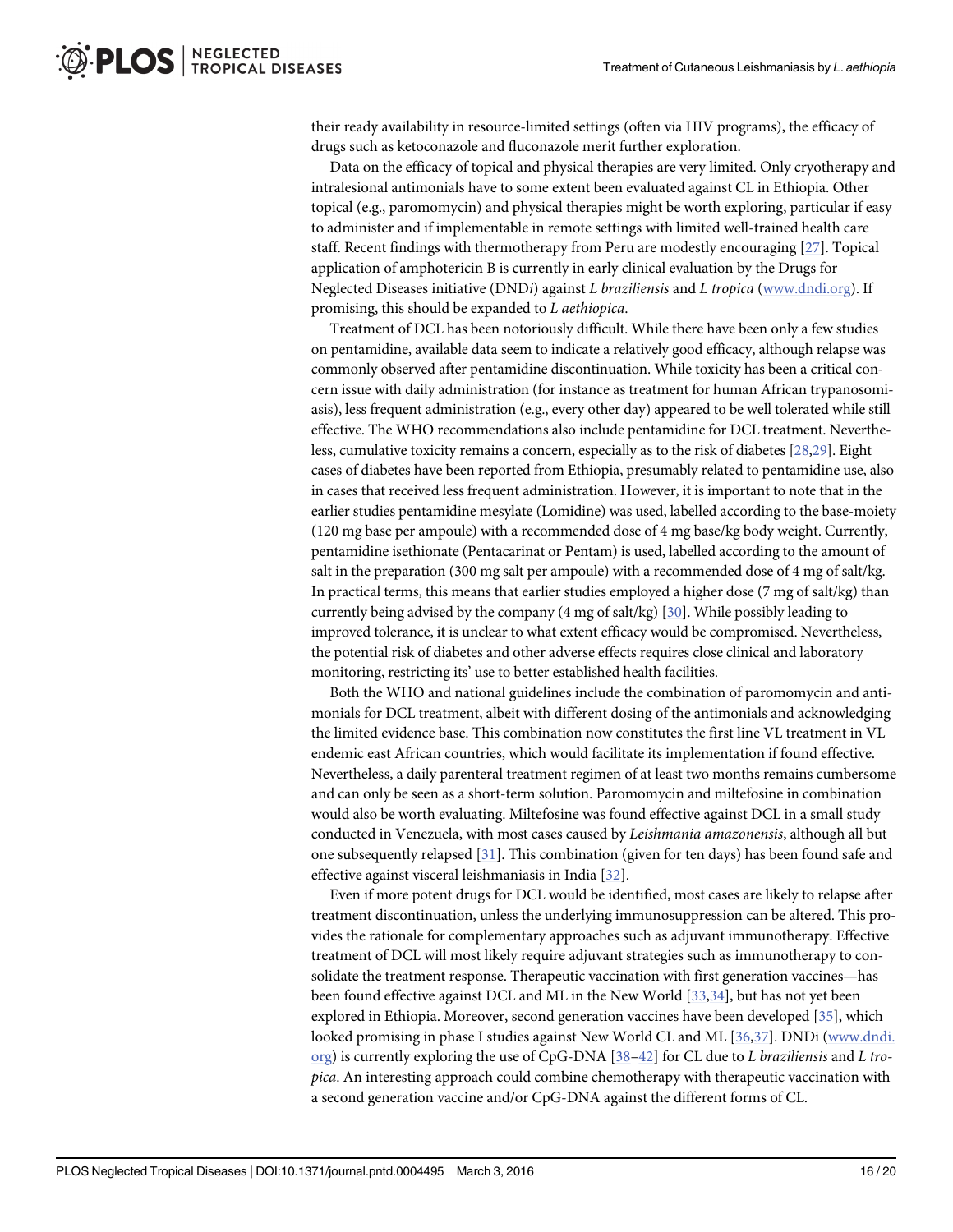<span id="page-15-0"></span>their ready availability in resource-limited settings (often via HIV programs), the efficacy of drugs such as ketoconazole and fluconazole merit further exploration.

Data on the efficacy of topical and physical therapies are very limited. Only cryotherapy and intralesional antimonials have to some extent been evaluated against CL in Ethiopia. Other topical (e.g., paromomycin) and physical therapies might be worth exploring, particular if easy to administer and if implementable in remote settings with limited well-trained health care staff. Recent findings with thermotherapy from Peru are modestly encouraging [\[27](#page-17-0)]. Topical application of amphotericin B is currently in early clinical evaluation by the Drugs for Neglected Diseases initiative (DNDi) against L braziliensis and L tropica [\(www.dndi.org\)](http://www.dndi.org). If promising, this should be expanded to L aethiopica.

Treatment of DCL has been notoriously difficult. While there have been only a few studies on pentamidine, available data seem to indicate a relatively good efficacy, although relapse was commonly observed after pentamidine discontinuation. While toxicity has been a critical concern issue with daily administration (for instance as treatment for human African trypanosomiasis), less frequent administration (e.g., every other day) appeared to be well tolerated while still effective. The WHO recommendations also include pentamidine for DCL treatment. Nevertheless, cumulative toxicity remains a concern, especially as to the risk of diabetes [\[28](#page-17-0)[,29\]](#page-18-0). Eight cases of diabetes have been reported from Ethiopia, presumably related to pentamidine use, also in cases that received less frequent administration. However, it is important to note that in the earlier studies pentamidine mesylate (Lomidine) was used, labelled according to the base-moiety (120 mg base per ampoule) with a recommended dose of 4 mg base/kg body weight. Currently, pentamidine isethionate (Pentacarinat or Pentam) is used, labelled according to the amount of salt in the preparation (300 mg salt per ampoule) with a recommended dose of 4 mg of salt/kg. In practical terms, this means that earlier studies employed a higher dose (7 mg of salt/kg) than currently being advised by the company  $(4 \text{ mg of salt/kg})$  [[30](#page-18-0)]. While possibly leading to improved tolerance, it is unclear to what extent efficacy would be compromised. Nevertheless, the potential risk of diabetes and other adverse effects requires close clinical and laboratory monitoring, restricting its' use to better established health facilities.

Both the WHO and national guidelines include the combination of paromomycin and antimonials for DCL treatment, albeit with different dosing of the antimonials and acknowledging the limited evidence base. This combination now constitutes the first line VL treatment in VL endemic east African countries, which would facilitate its implementation if found effective. Nevertheless, a daily parenteral treatment regimen of at least two months remains cumbersome and can only be seen as a short-term solution. Paromomycin and miltefosine in combination would also be worth evaluating. Miltefosine was found effective against DCL in a small study conducted in Venezuela, with most cases caused by Leishmania amazonensis, although all but one subsequently relapsed [\[31\]](#page-18-0). This combination (given for ten days) has been found safe and effective against visceral leishmaniasis in India [\[32\]](#page-18-0).

Even if more potent drugs for DCL would be identified, most cases are likely to relapse after treatment discontinuation, unless the underlying immunosuppression can be altered. This provides the rationale for complementary approaches such as adjuvant immunotherapy. Effective treatment of DCL will most likely require adjuvant strategies such as immunotherapy to consolidate the treatment response. Therapeutic vaccination with first generation vaccines—has been found effective against DCL and ML in the New World [\[33,34\]](#page-18-0), but has not yet been explored in Ethiopia. Moreover, second generation vaccines have been developed [\[35\]](#page-18-0), which looked promising in phase I studies against New World CL and ML [[36,37](#page-18-0)]. DNDi [\(www.dndi.](http://www.dndi.org) [org](http://www.dndi.org)) is currently exploring the use of CpG-DNA  $[38-42]$  $[38-42]$  $[38-42]$  $[38-42]$  for CL due to L braziliensis and L tropica. An interesting approach could combine chemotherapy with therapeutic vaccination with a second generation vaccine and/or CpG-DNA against the different forms of CL.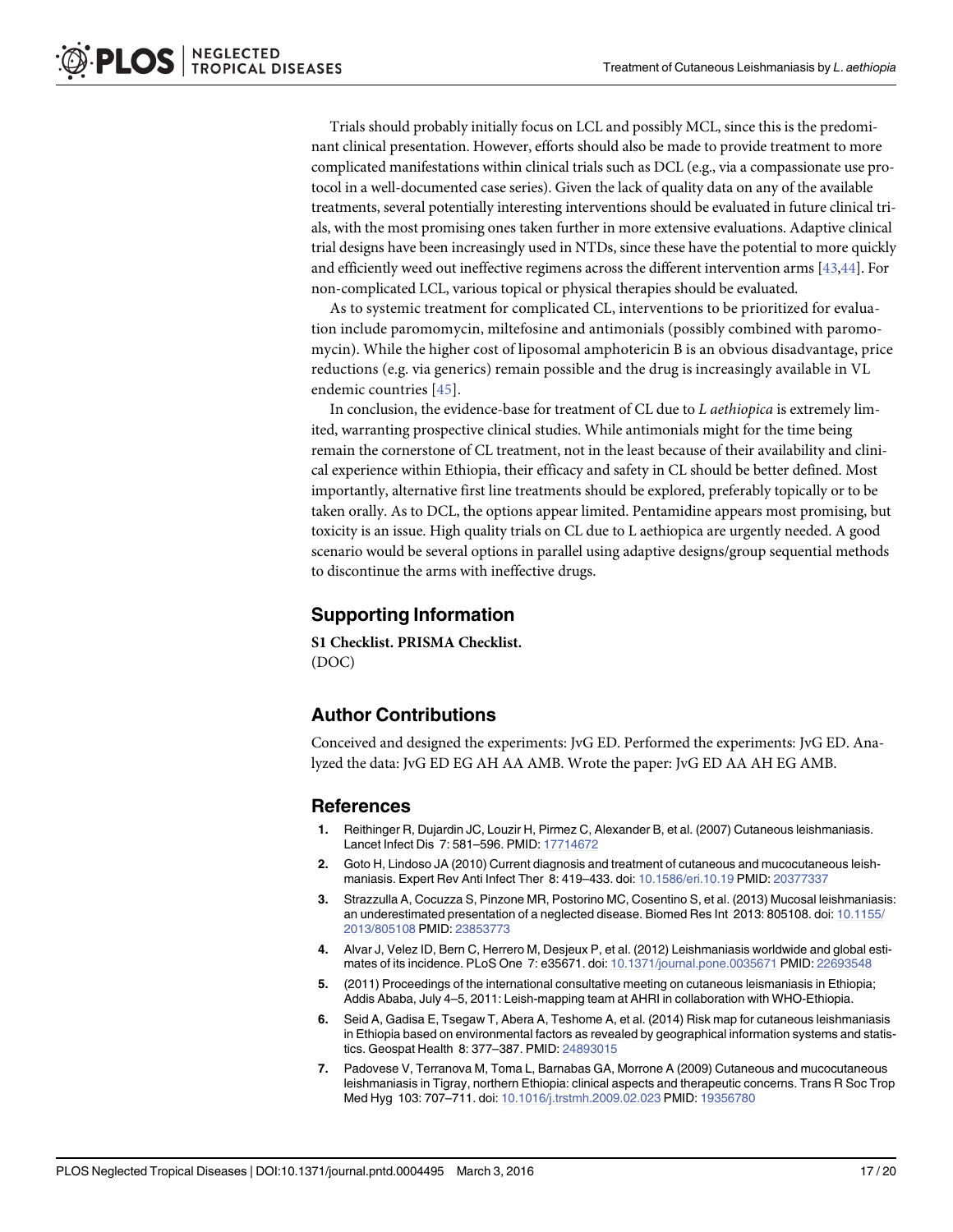<span id="page-16-0"></span>Trials should probably initially focus on LCL and possibly MCL, since this is the predominant clinical presentation. However, efforts should also be made to provide treatment to more complicated manifestations within clinical trials such as DCL (e.g., via a compassionate use protocol in a well-documented case series). Given the lack of quality data on any of the available treatments, several potentially interesting interventions should be evaluated in future clinical trials, with the most promising ones taken further in more extensive evaluations. Adaptive clinical trial designs have been increasingly used in NTDs, since these have the potential to more quickly and efficiently weed out ineffective regimens across the different intervention arms [[43,44\]](#page-18-0). For non-complicated LCL, various topical or physical therapies should be evaluated.

As to systemic treatment for complicated CL, interventions to be prioritized for evaluation include paromomycin, miltefosine and antimonials (possibly combined with paromomycin). While the higher cost of liposomal amphotericin B is an obvious disadvantage, price reductions (e.g. via generics) remain possible and the drug is increasingly available in VL endemic countries [[45](#page-18-0)].

In conclusion, the evidence-base for treatment of CL due to L aethiopica is extremely limited, warranting prospective clinical studies. While antimonials might for the time being remain the cornerstone of CL treatment, not in the least because of their availability and clinical experience within Ethiopia, their efficacy and safety in CL should be better defined. Most importantly, alternative first line treatments should be explored, preferably topically or to be taken orally. As to DCL, the options appear limited. Pentamidine appears most promising, but toxicity is an issue. High quality trials on CL due to L aethiopica are urgently needed. A good scenario would be several options in parallel using adaptive designs/group sequential methods to discontinue the arms with ineffective drugs.

## Supporting Information

[S1 Checklist.](http://www.plosone.org/article/fetchSingleRepresentation.action?uri=info:doi/10.1371/journal.pntd.0004495.s001) PRISMA Checklist. (DOC)

## Author Contributions

Conceived and designed the experiments: JvG ED. Performed the experiments: JvG ED. Analyzed the data: JvG ED EG AH AA AMB. Wrote the paper: JvG ED AA AH EG AMB.

#### References

- [1.](#page-1-0) Reithinger R, Dujardin JC, Louzir H, Pirmez C, Alexander B, et al. (2007) Cutaneous leishmaniasis. Lancet Infect Dis 7: 581–596. PMID: [17714672](http://www.ncbi.nlm.nih.gov/pubmed/17714672)
- [2.](#page-1-0) Goto H, Lindoso JA (2010) Current diagnosis and treatment of cutaneous and mucocutaneous leishmaniasis. Expert Rev Anti Infect Ther 8: 419–433. doi: [10.1586/eri.10.19](http://dx.doi.org/10.1586/eri.10.19) PMID: [20377337](http://www.ncbi.nlm.nih.gov/pubmed/20377337)
- [3.](#page-1-0) Strazzulla A, Cocuzza S, Pinzone MR, Postorino MC, Cosentino S, et al. (2013) Mucosal leishmaniasis: an underestimated presentation of a neglected disease. Biomed Res Int 2013: 805108. doi: [10.1155/](http://dx.doi.org/10.1155/2013/805108) [2013/805108](http://dx.doi.org/10.1155/2013/805108) PMID: [23853773](http://www.ncbi.nlm.nih.gov/pubmed/23853773)
- [4.](#page-1-0) Alvar J, Velez ID, Bern C, Herrero M, Desjeux P, et al. (2012) Leishmaniasis worldwide and global estimates of its incidence. PLoS One 7: e35671. doi: [10.1371/journal.pone.0035671](http://dx.doi.org/10.1371/journal.pone.0035671) PMID: [22693548](http://www.ncbi.nlm.nih.gov/pubmed/22693548)
- [5.](#page-1-0) (2011) Proceedings of the international consultative meeting on cutaneous leismaniasis in Ethiopia; Addis Ababa, July 4–5, 2011: Leish-mapping team at AHRI in collaboration with WHO-Ethiopia.
- [6.](#page-1-0) Seid A, Gadisa E, Tsegaw T, Abera A, Teshome A, et al. (2014) Risk map for cutaneous leishmaniasis in Ethiopia based on environmental factors as revealed by geographical information systems and statistics. Geospat Health 8: 377–387. PMID: [24893015](http://www.ncbi.nlm.nih.gov/pubmed/24893015)
- [7.](#page-2-0) Padovese V, Terranova M, Toma L, Barnabas GA, Morrone A (2009) Cutaneous and mucocutaneous leishmaniasis in Tigray, northern Ethiopia: clinical aspects and therapeutic concerns. Trans R Soc Trop Med Hyg 103: 707–711. doi: [10.1016/j.trstmh.2009.02.023](http://dx.doi.org/10.1016/j.trstmh.2009.02.023) PMID: [19356780](http://www.ncbi.nlm.nih.gov/pubmed/19356780)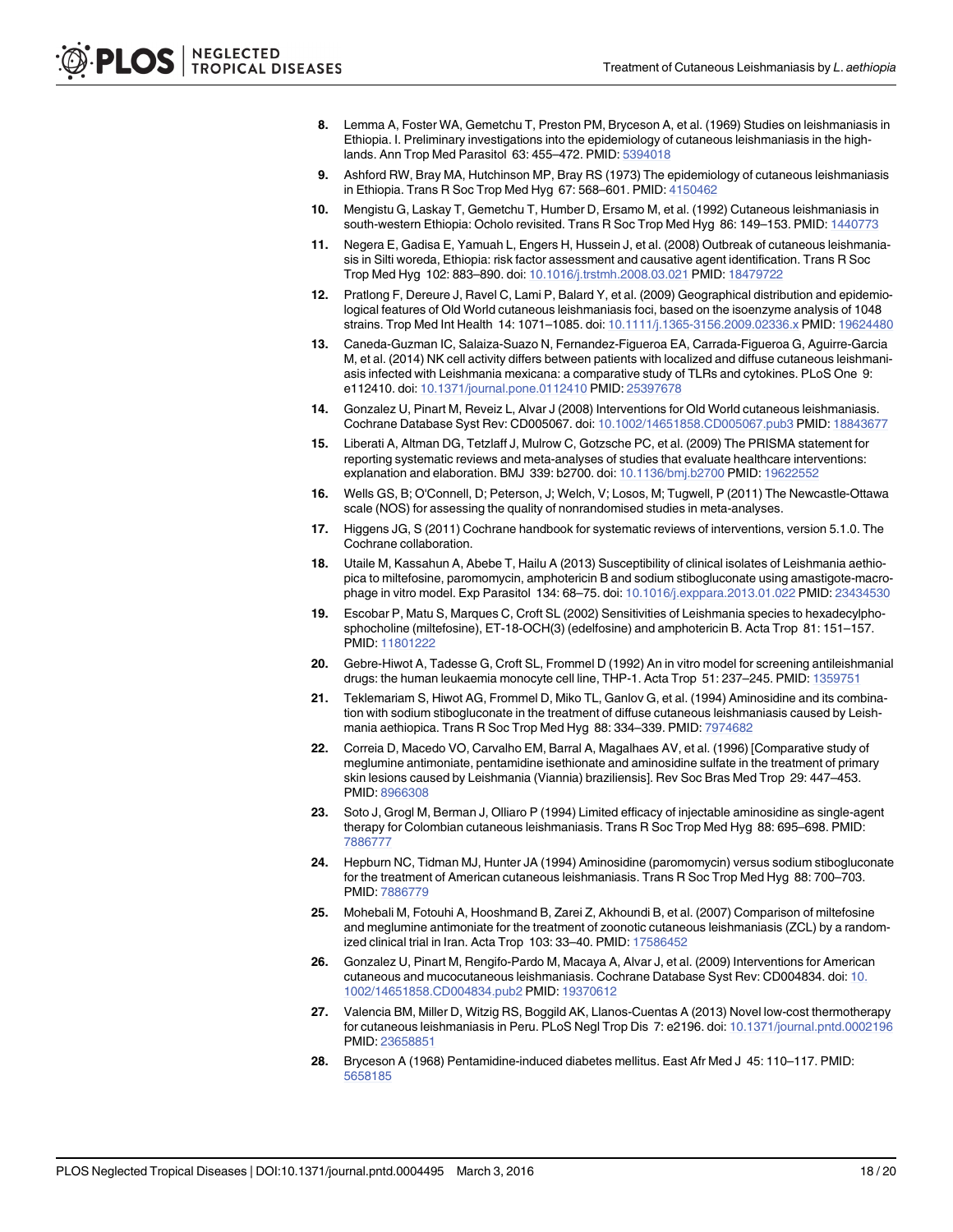- <span id="page-17-0"></span>8. Lemma A, Foster WA, Gemetchu T, Preston PM, Bryceson A, et al. (1969) Studies on leishmaniasis in Ethiopia. I. Preliminary investigations into the epidemiology of cutaneous leishmaniasis in the highlands. Ann Trop Med Parasitol 63: 455–472. PMID: [5394018](http://www.ncbi.nlm.nih.gov/pubmed/5394018)
- 9. Ashford RW, Bray MA, Hutchinson MP, Bray RS (1973) The epidemiology of cutaneous leishmaniasis in Ethiopia. Trans R Soc Trop Med Hyg 67: 568–601. PMID: [4150462](http://www.ncbi.nlm.nih.gov/pubmed/4150462)
- [10.](#page-2-0) Mengistu G, Laskay T, Gemetchu T, Humber D, Ersamo M, et al. (1992) Cutaneous leishmaniasis in south-western Ethiopia: Ocholo revisited. Trans R Soc Trop Med Hyg 86: 149-153. PMID: [1440773](http://www.ncbi.nlm.nih.gov/pubmed/1440773)
- [11.](#page-2-0) Negera E, Gadisa E, Yamuah L, Engers H, Hussein J, et al. (2008) Outbreak of cutaneous leishmaniasis in Silti woreda, Ethiopia: risk factor assessment and causative agent identification. Trans R Soc Trop Med Hyg 102: 883–890. doi: [10.1016/j.trstmh.2008.03.021](http://dx.doi.org/10.1016/j.trstmh.2008.03.021) PMID: [18479722](http://www.ncbi.nlm.nih.gov/pubmed/18479722)
- [12.](#page-2-0) Pratlong F, Dereure J, Ravel C, Lami P, Balard Y, et al. (2009) Geographical distribution and epidemiological features of Old World cutaneous leishmaniasis foci, based on the isoenzyme analysis of 1048 strains. Trop Med Int Health 14: 1071–1085. doi: [10.1111/j.1365-3156.2009.02336.x](http://dx.doi.org/10.1111/j.1365-3156.2009.02336.x) PMID: [19624480](http://www.ncbi.nlm.nih.gov/pubmed/19624480)
- [13.](#page-2-0) Caneda-Guzman IC, Salaiza-Suazo N, Fernandez-Figueroa EA, Carrada-Figueroa G, Aguirre-Garcia M, et al. (2014) NK cell activity differs between patients with localized and diffuse cutaneous leishmaniasis infected with Leishmania mexicana: a comparative study of TLRs and cytokines. PLoS One 9: e112410. doi: [10.1371/journal.pone.0112410](http://dx.doi.org/10.1371/journal.pone.0112410) PMID: [25397678](http://www.ncbi.nlm.nih.gov/pubmed/25397678)
- [14.](#page-2-0) Gonzalez U, Pinart M, Reveiz L, Alvar J (2008) Interventions for Old World cutaneous leishmaniasis. Cochrane Database Syst Rev: CD005067. doi: [10.1002/14651858.CD005067.pub3](http://dx.doi.org/10.1002/14651858.CD005067.pub3) PMID: [18843677](http://www.ncbi.nlm.nih.gov/pubmed/18843677)
- [15.](#page-2-0) Liberati A, Altman DG, Tetzlaff J, Mulrow C, Gotzsche PC, et al. (2009) The PRISMA statement for reporting systematic reviews and meta-analyses of studies that evaluate healthcare interventions: explanation and elaboration. BMJ 339: b2700. doi: [10.1136/bmj.b2700](http://dx.doi.org/10.1136/bmj.b2700) PMID: [19622552](http://www.ncbi.nlm.nih.gov/pubmed/19622552)
- [16.](#page-4-0) Wells GS, B; O'Connell, D; Peterson, J; Welch, V; Losos, M; Tugwell, P (2011) The Newcastle-Ottawa scale (NOS) for assessing the quality of nonrandomised studies in meta-analyses.
- [17.](#page-4-0) Higgens JG, S (2011) Cochrane handbook for systematic reviews of interventions, version 5.1.0. The Cochrane collaboration.
- [18.](#page-10-0) Utaile M, Kassahun A, Abebe T, Hailu A (2013) Susceptibility of clinical isolates of Leishmania aethiopica to miltefosine, paromomycin, amphotericin B and sodium stibogluconate using amastigote-macrophage in vitro model. Exp Parasitol 134: 68–75. doi: [10.1016/j.exppara.2013.01.022](http://dx.doi.org/10.1016/j.exppara.2013.01.022) PMID: [23434530](http://www.ncbi.nlm.nih.gov/pubmed/23434530)
- [19.](#page-10-0) Escobar P, Matu S, Marques C, Croft SL (2002) Sensitivities of Leishmania species to hexadecylphosphocholine (miltefosine), ET-18-OCH(3) (edelfosine) and amphotericin B. Acta Trop 81: 151–157. PMID: [11801222](http://www.ncbi.nlm.nih.gov/pubmed/11801222)
- [20.](#page-10-0) Gebre-Hiwot A, Tadesse G, Croft SL, Frommel D (1992) An in vitro model for screening antileishmanial drugs: the human leukaemia monocyte cell line, THP-1. Acta Trop 51: 237–245. PMID: [1359751](http://www.ncbi.nlm.nih.gov/pubmed/1359751)
- [21.](#page-6-0) Teklemariam S, Hiwot AG, Frommel D, Miko TL, Ganlov G, et al. (1994) Aminosidine and its combination with sodium stibogluconate in the treatment of diffuse cutaneous leishmaniasis caused by Leishmania aethiopica. Trans R Soc Trop Med Hyg 88: 334–339. PMID: [7974682](http://www.ncbi.nlm.nih.gov/pubmed/7974682)
- [22.](#page-14-0) Correia D, Macedo VO, Carvalho EM, Barral A, Magalhaes AV, et al. (1996) [Comparative study of meglumine antimoniate, pentamidine isethionate and aminosidine sulfate in the treatment of primary skin lesions caused by Leishmania (Viannia) braziliensis]. Rev Soc Bras Med Trop 29: 447–453. PMID: [8966308](http://www.ncbi.nlm.nih.gov/pubmed/8966308)
- [23.](#page-14-0) Soto J, Grogl M, Berman J, Olliaro P (1994) Limited efficacy of injectable aminosidine as single-agent therapy for Colombian cutaneous leishmaniasis. Trans R Soc Trop Med Hyg 88: 695–698. PMID: [7886777](http://www.ncbi.nlm.nih.gov/pubmed/7886777)
- [24.](#page-14-0) Hepburn NC, Tidman MJ, Hunter JA (1994) Aminosidine (paromomycin) versus sodium stibogluconate for the treatment of American cutaneous leishmaniasis. Trans R Soc Trop Med Hyg 88: 700–703. PMID: [7886779](http://www.ncbi.nlm.nih.gov/pubmed/7886779)
- [25.](#page-14-0) Mohebali M, Fotouhi A, Hooshmand B, Zarei Z, Akhoundi B, et al. (2007) Comparison of miltefosine and meglumine antimoniate for the treatment of zoonotic cutaneous leishmaniasis (ZCL) by a random-ized clinical trial in Iran. Acta Trop 103: 33-40. PMID: [17586452](http://www.ncbi.nlm.nih.gov/pubmed/17586452)
- [26.](#page-14-0) Gonzalez U, Pinart M, Rengifo-Pardo M, Macaya A, Alvar J, et al. (2009) Interventions for American cutaneous and mucocutaneous leishmaniasis. Cochrane Database Syst Rev: CD004834. doi: [10.](http://dx.doi.org/10.1002/14651858.CD004834.pub2) [1002/14651858.CD004834.pub2](http://dx.doi.org/10.1002/14651858.CD004834.pub2) PMID: [19370612](http://www.ncbi.nlm.nih.gov/pubmed/19370612)
- [27.](#page-15-0) Valencia BM, Miller D, Witzig RS, Boggild AK, Llanos-Cuentas A (2013) Novel low-cost thermotherapy for cutaneous leishmaniasis in Peru. PLoS Negl Trop Dis 7: e2196. doi: [10.1371/journal.pntd.0002196](http://dx.doi.org/10.1371/journal.pntd.0002196) PMID: [23658851](http://www.ncbi.nlm.nih.gov/pubmed/23658851)
- [28.](#page-15-0) Bryceson A (1968) Pentamidine-induced diabetes mellitus. East Afr Med J 45: 110–117. PMID: [5658185](http://www.ncbi.nlm.nih.gov/pubmed/5658185)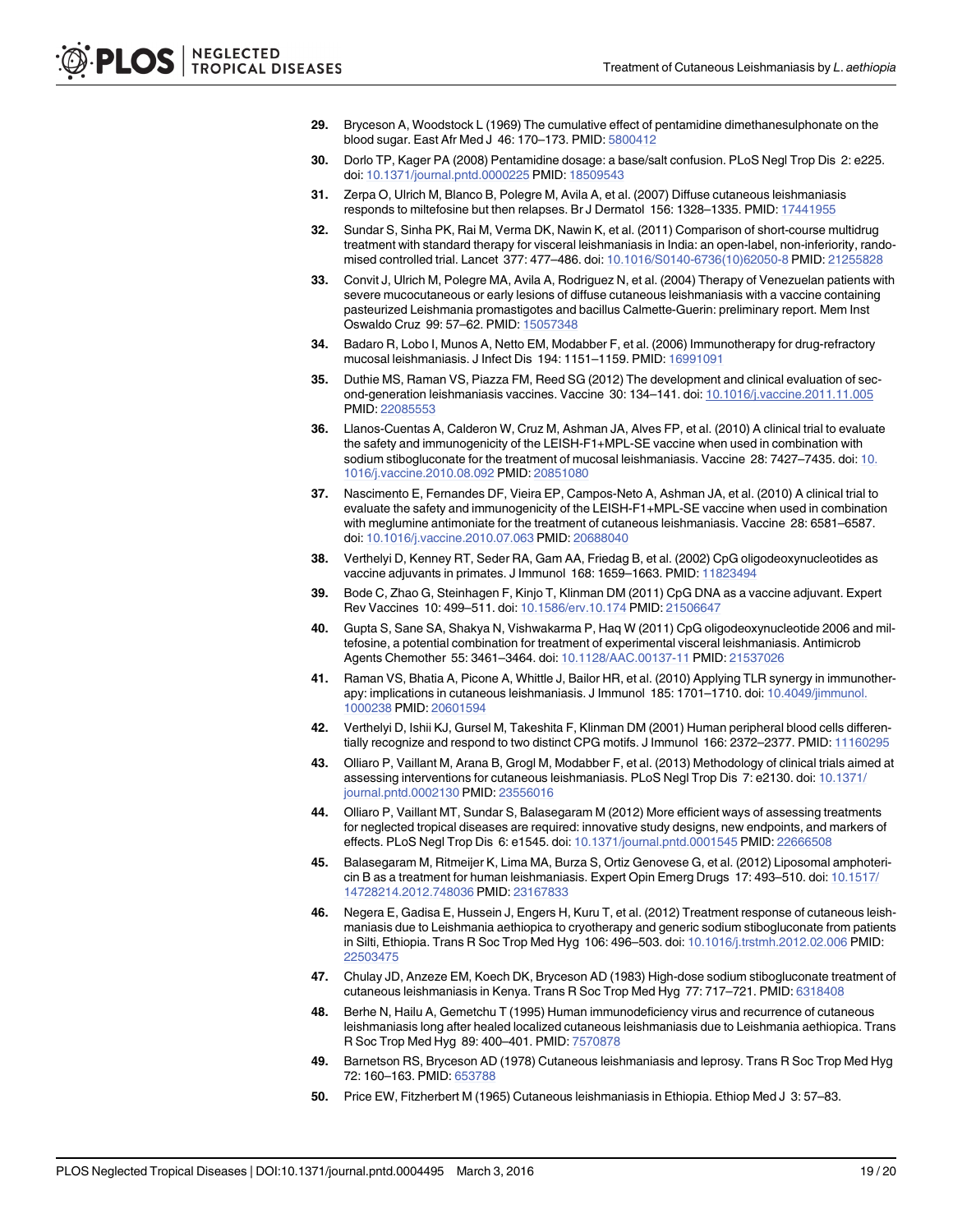- <span id="page-18-0"></span>[29.](#page-15-0) Bryceson A, Woodstock L (1969) The cumulative effect of pentamidine dimethanesulphonate on the blood sugar. East Afr Med J 46: 170–173. PMID: [5800412](http://www.ncbi.nlm.nih.gov/pubmed/5800412)
- [30.](#page-15-0) Dorlo TP, Kager PA (2008) Pentamidine dosage: a base/salt confusion. PLoS Negl Trop Dis 2: e225. doi: [10.1371/journal.pntd.0000225](http://dx.doi.org/10.1371/journal.pntd.0000225) PMID: [18509543](http://www.ncbi.nlm.nih.gov/pubmed/18509543)
- [31.](#page-15-0) Zerpa O, Ulrich M, Blanco B, Polegre M, Avila A, et al. (2007) Diffuse cutaneous leishmaniasis responds to miltefosine but then relapses. Br J Dermatol 156: 1328–1335. PMID: [17441955](http://www.ncbi.nlm.nih.gov/pubmed/17441955)
- [32.](#page-15-0) Sundar S, Sinha PK, Rai M, Verma DK, Nawin K, et al. (2011) Comparison of short-course multidrug treatment with standard therapy for visceral leishmaniasis in India: an open-label, non-inferiority, randomised controlled trial. Lancet 377: 477–486. doi: [10.1016/S0140-6736\(10\)62050-8](http://dx.doi.org/10.1016/S0140-6736(10)62050-8) PMID: [21255828](http://www.ncbi.nlm.nih.gov/pubmed/21255828)
- [33.](#page-15-0) Convit J, Ulrich M, Polegre MA, Avila A, Rodriguez N, et al. (2004) Therapy of Venezuelan patients with severe mucocutaneous or early lesions of diffuse cutaneous leishmaniasis with a vaccine containing pasteurized Leishmania promastigotes and bacillus Calmette-Guerin: preliminary report. Mem Inst Oswaldo Cruz 99: 57–62. PMID: [15057348](http://www.ncbi.nlm.nih.gov/pubmed/15057348)
- [34.](#page-15-0) Badaro R, Lobo I, Munos A, Netto EM, Modabber F, et al. (2006) Immunotherapy for drug-refractory mucosal leishmaniasis. J Infect Dis 194: 1151–1159. PMID: [16991091](http://www.ncbi.nlm.nih.gov/pubmed/16991091)
- [35.](#page-15-0) Duthie MS, Raman VS, Piazza FM, Reed SG (2012) The development and clinical evaluation of second-generation leishmaniasis vaccines. Vaccine 30: 134–141. doi: [10.1016/j.vaccine.2011.11.005](http://dx.doi.org/10.1016/j.vaccine.2011.11.005) PMID: [22085553](http://www.ncbi.nlm.nih.gov/pubmed/22085553)
- [36.](#page-15-0) Llanos-Cuentas A, Calderon W, Cruz M, Ashman JA, Alves FP, et al. (2010) A clinical trial to evaluate the safety and immunogenicity of the LEISH-F1+MPL-SE vaccine when used in combination with sodium stibogluconate for the treatment of mucosal leishmaniasis. Vaccine 28: 7427–7435. doi: [10.](http://dx.doi.org/10.1016/j.vaccine.2010.08.092) [1016/j.vaccine.2010.08.092](http://dx.doi.org/10.1016/j.vaccine.2010.08.092) PMID: [20851080](http://www.ncbi.nlm.nih.gov/pubmed/20851080)
- [37.](#page-15-0) Nascimento E, Fernandes DF, Vieira EP, Campos-Neto A, Ashman JA, et al. (2010) A clinical trial to evaluate the safety and immunogenicity of the LEISH-F1+MPL-SE vaccine when used in combination with meglumine antimoniate for the treatment of cutaneous leishmaniasis. Vaccine 28: 6581–6587. doi: [10.1016/j.vaccine.2010.07.063](http://dx.doi.org/10.1016/j.vaccine.2010.07.063) PMID: [20688040](http://www.ncbi.nlm.nih.gov/pubmed/20688040)
- [38.](#page-15-0) Verthelyi D, Kenney RT, Seder RA, Gam AA, Friedag B, et al. (2002) CpG oligodeoxynucleotides as vaccine adjuvants in primates. J Immunol 168: 1659–1663. PMID: [11823494](http://www.ncbi.nlm.nih.gov/pubmed/11823494)
- 39. Bode C, Zhao G, Steinhagen F, Kinjo T, Klinman DM (2011) CpG DNA as a vaccine adjuvant. Expert Rev Vaccines 10: 499–511. doi: [10.1586/erv.10.174](http://dx.doi.org/10.1586/erv.10.174) PMID: [21506647](http://www.ncbi.nlm.nih.gov/pubmed/21506647)
- 40. Gupta S, Sane SA, Shakya N, Vishwakarma P, Haq W (2011) CpG oligodeoxynucleotide 2006 and miltefosine, a potential combination for treatment of experimental visceral leishmaniasis. Antimicrob Agents Chemother 55: 3461–3464. doi: [10.1128/AAC.00137-11](http://dx.doi.org/10.1128/AAC.00137-11) PMID: [21537026](http://www.ncbi.nlm.nih.gov/pubmed/21537026)
- 41. Raman VS, Bhatia A, Picone A, Whittle J, Bailor HR, et al. (2010) Applying TLR synergy in immunother-apy: implications in cutaneous leishmaniasis. J Immunol 185: 1701-1710. doi: [10.4049/jimmunol.](http://dx.doi.org/10.4049/jimmunol.1000238) [1000238](http://dx.doi.org/10.4049/jimmunol.1000238) PMID: [20601594](http://www.ncbi.nlm.nih.gov/pubmed/20601594)
- [42.](#page-15-0) Verthelyi D, Ishii KJ, Gursel M, Takeshita F, Klinman DM (2001) Human peripheral blood cells differentially recognize and respond to two distinct CPG motifs. J Immunol 166: 2372–2377. PMID: [11160295](http://www.ncbi.nlm.nih.gov/pubmed/11160295)
- [43.](#page-16-0) Olliaro P, Vaillant M, Arana B, Grogl M, Modabber F, et al. (2013) Methodology of clinical trials aimed at assessing interventions for cutaneous leishmaniasis. PLoS Negl Trop Dis 7: e2130. doi: [10.1371/](http://dx.doi.org/10.1371/journal.pntd.0002130) [journal.pntd.0002130](http://dx.doi.org/10.1371/journal.pntd.0002130) PMID: [23556016](http://www.ncbi.nlm.nih.gov/pubmed/23556016)
- [44.](#page-16-0) Olliaro P, Vaillant MT, Sundar S, Balasegaram M (2012) More efficient ways of assessing treatments for neglected tropical diseases are required: innovative study designs, new endpoints, and markers of effects. PLoS Negl Trop Dis 6: e1545. doi: [10.1371/journal.pntd.0001545](http://dx.doi.org/10.1371/journal.pntd.0001545) PMID: [22666508](http://www.ncbi.nlm.nih.gov/pubmed/22666508)
- [45.](#page-16-0) Balasegaram M, Ritmeijer K, Lima MA, Burza S, Ortiz Genovese G, et al. (2012) Liposomal amphotericin B as a treatment for human leishmaniasis. Expert Opin Emerg Drugs 17: 493–510. doi: [10.1517/](http://dx.doi.org/10.1517/14728214.2012.748036) [14728214.2012.748036](http://dx.doi.org/10.1517/14728214.2012.748036) PMID: [23167833](http://www.ncbi.nlm.nih.gov/pubmed/23167833)
- [46.](#page-6-0) Negera E, Gadisa E, Hussein J, Engers H, Kuru T, et al. (2012) Treatment response of cutaneous leishmaniasis due to Leishmania aethiopica to cryotherapy and generic sodium stibogluconate from patients in Silti, Ethiopia. Trans R Soc Trop Med Hyg 106: 496-503. doi: [10.1016/j.trstmh.2012.02.006](http://dx.doi.org/10.1016/j.trstmh.2012.02.006) PMID: [22503475](http://www.ncbi.nlm.nih.gov/pubmed/22503475)
- [47.](#page-6-0) Chulay JD, Anzeze EM, Koech DK, Bryceson AD (1983) High-dose sodium stibogluconate treatment of cutaneous leishmaniasis in Kenya. Trans R Soc Trop Med Hyg 77: 717–721. PMID: [6318408](http://www.ncbi.nlm.nih.gov/pubmed/6318408)
- [48.](#page-6-0) Berhe N, Hailu A, Gemetchu T (1995) Human immunodeficiency virus and recurrence of cutaneous leishmaniasis long after healed localized cutaneous leishmaniasis due to Leishmania aethiopica. Trans R Soc Trop Med Hyg 89: 400–401. PMID: [7570878](http://www.ncbi.nlm.nih.gov/pubmed/7570878)
- [49.](#page-6-0) Barnetson RS, Bryceson AD (1978) Cutaneous leishmaniasis and leprosy. Trans R Soc Trop Med Hyg 72: 160–163. PMID: [653788](http://www.ncbi.nlm.nih.gov/pubmed/653788)
- [50.](#page-6-0) Price EW, Fitzherbert M (1965) Cutaneous leishmaniasis in Ethiopia. Ethiop Med J 3: 57–83.